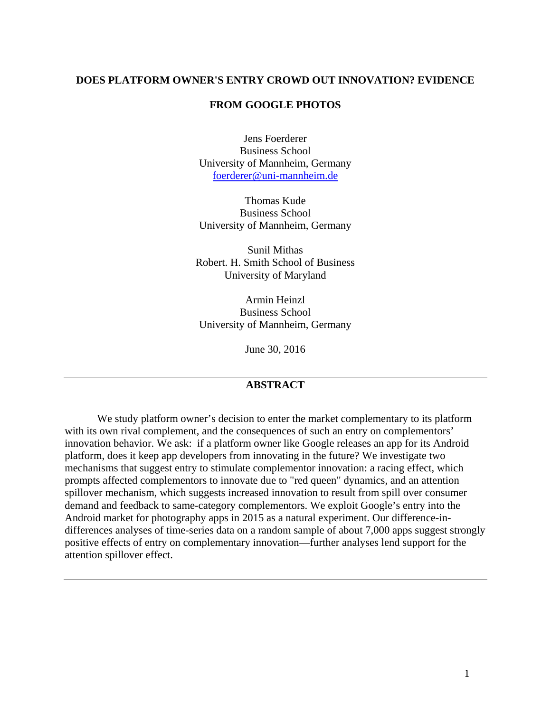## **DOES PLATFORM OWNER'S ENTRY CROWD OUT INNOVATION? EVIDENCE**

## **FROM GOOGLE PHOTOS**

Jens Foerderer Business School University of Mannheim, Germany [foerderer@uni-mannheim.de](mailto:foerderer@uni-mannheim.de)

Thomas Kude Business School University of Mannheim, Germany

Sunil Mithas Robert. H. Smith School of Business University of Maryland

Armin Heinzl Business School University of Mannheim, Germany

June 30, 2016

# **ABSTRACT**

We study platform owner's decision to enter the market complementary to its platform with its own rival complement, and the consequences of such an entry on complementors' innovation behavior. We ask: if a platform owner like Google releases an app for its Android platform, does it keep app developers from innovating in the future? We investigate two mechanisms that suggest entry to stimulate complementor innovation: a racing effect, which prompts affected complementors to innovate due to "red queen" dynamics, and an attention spillover mechanism, which suggests increased innovation to result from spill over consumer demand and feedback to same-category complementors. We exploit Google's entry into the Android market for photography apps in 2015 as a natural experiment. Our difference-indifferences analyses of time-series data on a random sample of about 7,000 apps suggest strongly positive effects of entry on complementary innovation—further analyses lend support for the attention spillover effect.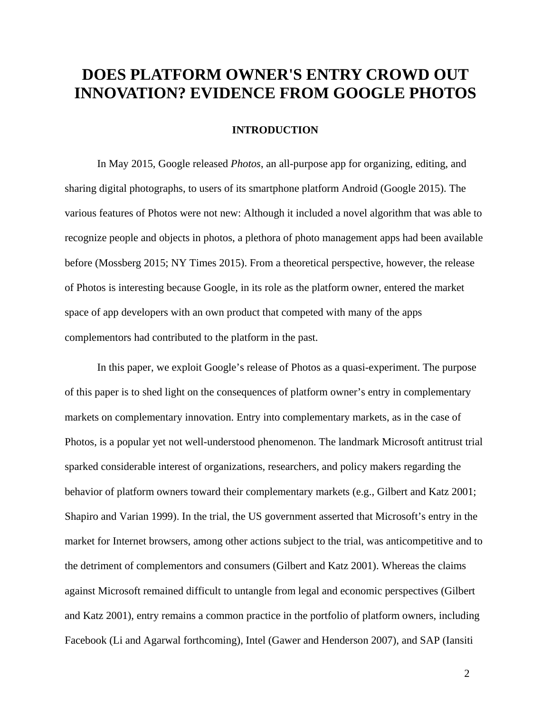# **DOES PLATFORM OWNER'S ENTRY CROWD OUT INNOVATION? EVIDENCE FROM GOOGLE PHOTOS**

## **INTRODUCTION**

In May 2015, Google released *Photos*, an all-purpose app for organizing, editing, and sharing digital photographs, to users of its smartphone platform Android (Google 2015). The various features of Photos were not new: Although it included a novel algorithm that was able to recognize people and objects in photos, a plethora of photo management apps had been available before (Mossberg 2015; NY Times 2015). From a theoretical perspective, however, the release of Photos is interesting because Google, in its role as the platform owner, entered the market space of app developers with an own product that competed with many of the apps complementors had contributed to the platform in the past.

In this paper, we exploit Google's release of Photos as a quasi-experiment. The purpose of this paper is to shed light on the consequences of platform owner's entry in complementary markets on complementary innovation. Entry into complementary markets, as in the case of Photos, is a popular yet not well-understood phenomenon. The landmark Microsoft antitrust trial sparked considerable interest of organizations, researchers, and policy makers regarding the behavior of platform owners toward their complementary markets (e.g., Gilbert and Katz 2001; Shapiro and Varian 1999). In the trial, the US government asserted that Microsoft's entry in the market for Internet browsers, among other actions subject to the trial, was anticompetitive and to the detriment of complementors and consumers (Gilbert and Katz 2001). Whereas the claims against Microsoft remained difficult to untangle from legal and economic perspectives (Gilbert and Katz 2001), entry remains a common practice in the portfolio of platform owners, including Facebook (Li and Agarwal forthcoming), Intel (Gawer and Henderson 2007), and SAP (Iansiti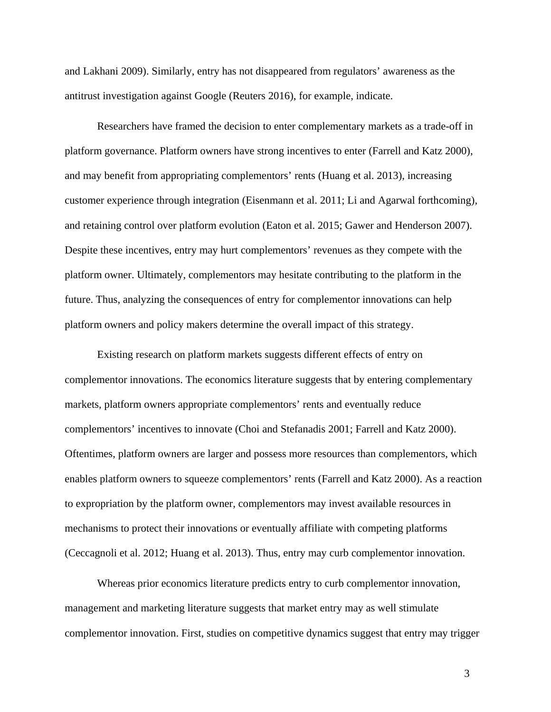and Lakhani 2009). Similarly, entry has not disappeared from regulators' awareness as the antitrust investigation against Google (Reuters 2016), for example, indicate.

Researchers have framed the decision to enter complementary markets as a trade-off in platform governance. Platform owners have strong incentives to enter (Farrell and Katz 2000), and may benefit from appropriating complementors' rents (Huang et al. 2013), increasing customer experience through integration (Eisenmann et al. 2011; Li and Agarwal forthcoming), and retaining control over platform evolution (Eaton et al. 2015; Gawer and Henderson 2007). Despite these incentives, entry may hurt complementors' revenues as they compete with the platform owner. Ultimately, complementors may hesitate contributing to the platform in the future. Thus, analyzing the consequences of entry for complementor innovations can help platform owners and policy makers determine the overall impact of this strategy.

Existing research on platform markets suggests different effects of entry on complementor innovations. The economics literature suggests that by entering complementary markets, platform owners appropriate complementors' rents and eventually reduce complementors' incentives to innovate (Choi and Stefanadis 2001; Farrell and Katz 2000). Oftentimes, platform owners are larger and possess more resources than complementors, which enables platform owners to squeeze complementors' rents (Farrell and Katz 2000). As a reaction to expropriation by the platform owner, complementors may invest available resources in mechanisms to protect their innovations or eventually affiliate with competing platforms (Ceccagnoli et al. 2012; Huang et al. 2013). Thus, entry may curb complementor innovation.

Whereas prior economics literature predicts entry to curb complementor innovation, management and marketing literature suggests that market entry may as well stimulate complementor innovation. First, studies on competitive dynamics suggest that entry may trigger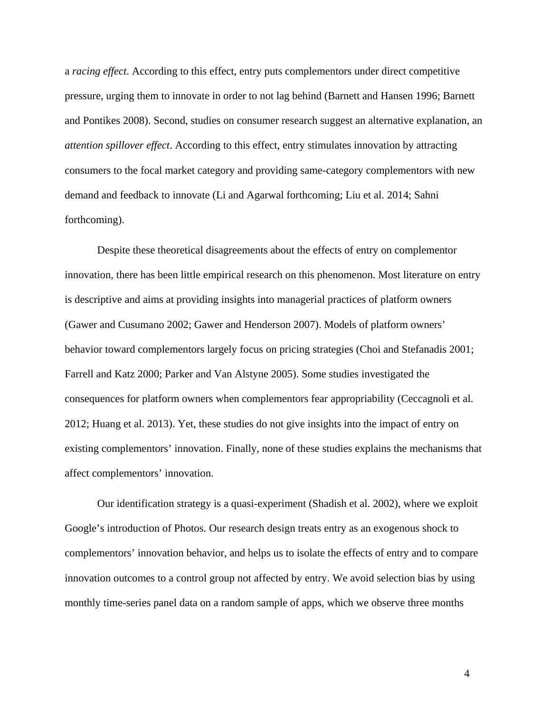a *racing effect*. According to this effect, entry puts complementors under direct competitive pressure, urging them to innovate in order to not lag behind (Barnett and Hansen 1996; Barnett and Pontikes 2008). Second, studies on consumer research suggest an alternative explanation, an *attention spillover effect*. According to this effect, entry stimulates innovation by attracting consumers to the focal market category and providing same-category complementors with new demand and feedback to innovate (Li and Agarwal forthcoming; Liu et al. 2014; Sahni forthcoming).

Despite these theoretical disagreements about the effects of entry on complementor innovation, there has been little empirical research on this phenomenon. Most literature on entry is descriptive and aims at providing insights into managerial practices of platform owners (Gawer and Cusumano 2002; Gawer and Henderson 2007). Models of platform owners' behavior toward complementors largely focus on pricing strategies (Choi and Stefanadis 2001; Farrell and Katz 2000; Parker and Van Alstyne 2005). Some studies investigated the consequences for platform owners when complementors fear appropriability (Ceccagnoli et al. 2012; Huang et al. 2013). Yet, these studies do not give insights into the impact of entry on existing complementors' innovation. Finally, none of these studies explains the mechanisms that affect complementors' innovation.

Our identification strategy is a quasi-experiment (Shadish et al. 2002), where we exploit Google's introduction of Photos. Our research design treats entry as an exogenous shock to complementors' innovation behavior, and helps us to isolate the effects of entry and to compare innovation outcomes to a control group not affected by entry. We avoid selection bias by using monthly time-series panel data on a random sample of apps, which we observe three months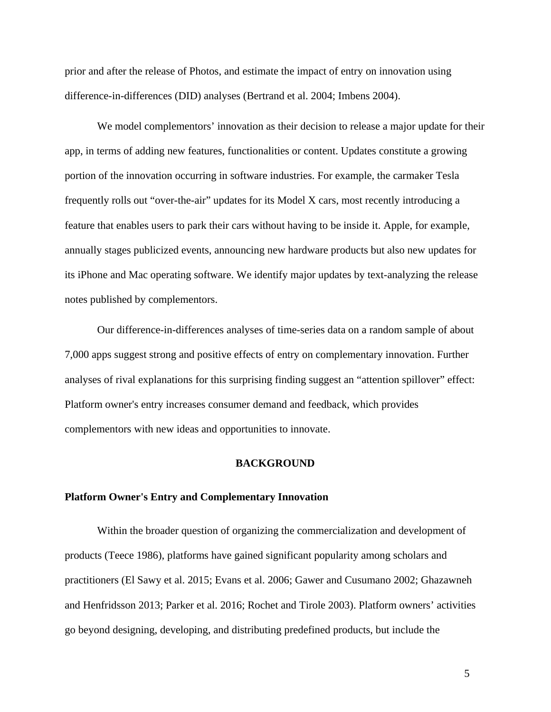prior and after the release of Photos, and estimate the impact of entry on innovation using difference-in-differences (DID) analyses (Bertrand et al. 2004; Imbens 2004).

We model complementors' innovation as their decision to release a major update for their app, in terms of adding new features, functionalities or content. Updates constitute a growing portion of the innovation occurring in software industries. For example, the carmaker Tesla frequently rolls out "over-the-air" updates for its Model X cars, most recently introducing a feature that enables users to park their cars without having to be inside it. Apple, for example, annually stages publicized events, announcing new hardware products but also new updates for its iPhone and Mac operating software. We identify major updates by text-analyzing the release notes published by complementors.

Our difference-in-differences analyses of time-series data on a random sample of about 7,000 apps suggest strong and positive effects of entry on complementary innovation. Further analyses of rival explanations for this surprising finding suggest an "attention spillover" effect: Platform owner's entry increases consumer demand and feedback, which provides complementors with new ideas and opportunities to innovate.

#### **BACKGROUND**

#### **Platform Owner's Entry and Complementary Innovation**

Within the broader question of organizing the commercialization and development of products (Teece 1986), platforms have gained significant popularity among scholars and practitioners (El Sawy et al. 2015; Evans et al. 2006; Gawer and Cusumano 2002; Ghazawneh and Henfridsson 2013; Parker et al. 2016; Rochet and Tirole 2003). Platform owners' activities go beyond designing, developing, and distributing predefined products, but include the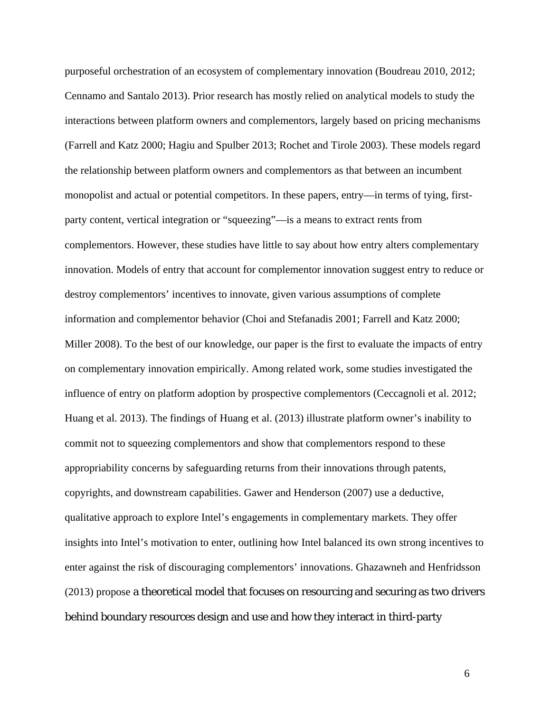purposeful orchestration of an ecosystem of complementary innovation (Boudreau 2010, 2012; Cennamo and Santalo 2013). Prior research has mostly relied on analytical models to study the interactions between platform owners and complementors, largely based on pricing mechanisms (Farrell and Katz 2000; Hagiu and Spulber 2013; Rochet and Tirole 2003). These models regard the relationship between platform owners and complementors as that between an incumbent monopolist and actual or potential competitors. In these papers, entry—in terms of tying, firstparty content, vertical integration or "squeezing"—is a means to extract rents from complementors. However, these studies have little to say about how entry alters complementary innovation. Models of entry that account for complementor innovation suggest entry to reduce or destroy complementors' incentives to innovate, given various assumptions of complete information and complementor behavior (Choi and Stefanadis 2001; Farrell and Katz 2000; Miller 2008). To the best of our knowledge, our paper is the first to evaluate the impacts of entry on complementary innovation empirically. Among related work, some studies investigated the influence of entry on platform adoption by prospective complementors (Ceccagnoli et al. 2012; Huang et al. 2013). The findings of Huang et al. (2013) illustrate platform owner's inability to commit not to squeezing complementors and show that complementors respond to these appropriability concerns by safeguarding returns from their innovations through patents, copyrights, and downstream capabilities. Gawer and Henderson (2007) use a deductive, qualitative approach to explore Intel's engagements in complementary markets. They offer insights into Intel's motivation to enter, outlining how Intel balanced its own strong incentives to enter against the risk of discouraging complementors' innovations. Ghazawneh and Henfridsson (2013) propose a theoretical model that focuses on resourcing and securing as two drivers behind boundary resources design and use and how they interact in third-party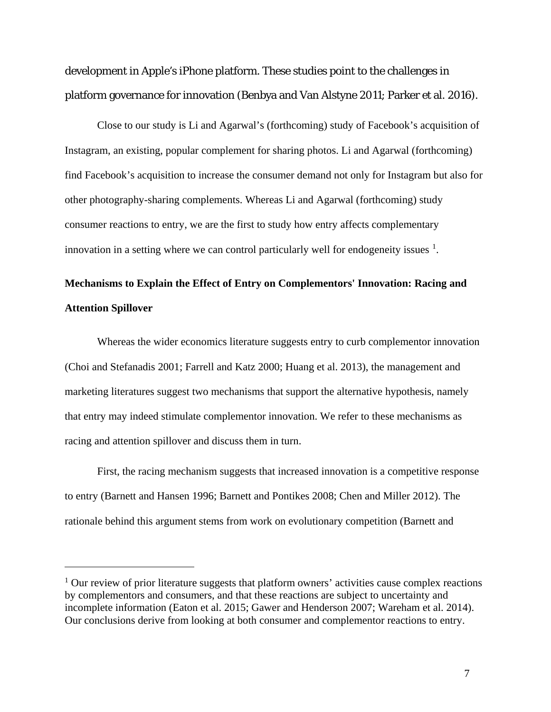development in Apple's iPhone platform. These studies point to the challenges in platform governance for innovation (Benbya and Van Alstyne 2011; Parker et al. 2016).

Close to our study is Li and Agarwal's (forthcoming) study of Facebook's acquisition of Instagram, an existing, popular complement for sharing photos. Li and Agarwal (forthcoming) find Facebook's acquisition to increase the consumer demand not only for Instagram but also for other photography-sharing complements. Whereas Li and Agarwal (forthcoming) study consumer reactions to entry, we are the first to study how entry affects complementary innovation in a setting where we can control particularly well for endogeneity issues  $<sup>1</sup>$  $<sup>1</sup>$  $<sup>1</sup>$ .</sup>

# **Mechanisms to Explain the Effect of Entry on Complementors' Innovation: Racing and Attention Spillover**

Whereas the wider economics literature suggests entry to curb complementor innovation (Choi and Stefanadis 2001; Farrell and Katz 2000; Huang et al. 2013), the management and marketing literatures suggest two mechanisms that support the alternative hypothesis, namely that entry may indeed stimulate complementor innovation. We refer to these mechanisms as racing and attention spillover and discuss them in turn.

First, the racing mechanism suggests that increased innovation is a competitive response to entry (Barnett and Hansen 1996; Barnett and Pontikes 2008; Chen and Miller 2012). The rationale behind this argument stems from work on evolutionary competition (Barnett and

 $\overline{a}$ 

<span id="page-6-0"></span> $1$  Our review of prior literature suggests that platform owners' activities cause complex reactions by complementors and consumers, and that these reactions are subject to uncertainty and incomplete information (Eaton et al. 2015; Gawer and Henderson 2007; Wareham et al. 2014). Our conclusions derive from looking at both consumer and complementor reactions to entry.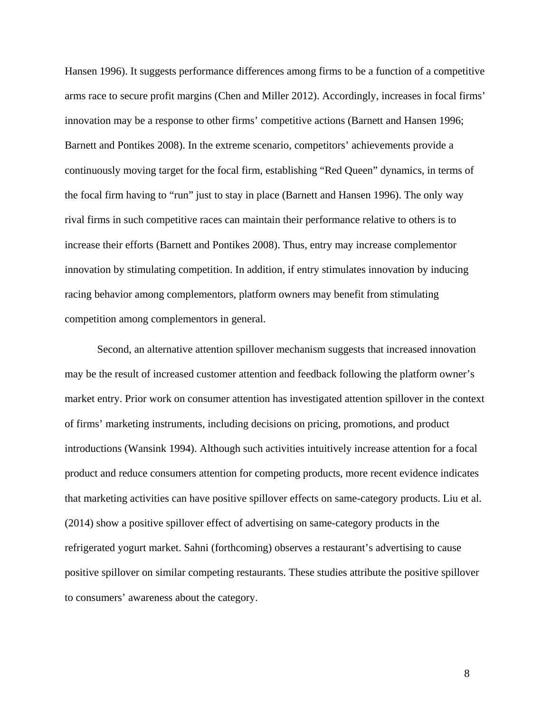Hansen 1996). It suggests performance differences among firms to be a function of a competitive arms race to secure profit margins (Chen and Miller 2012). Accordingly, increases in focal firms' innovation may be a response to other firms' competitive actions (Barnett and Hansen 1996; Barnett and Pontikes 2008). In the extreme scenario, competitors' achievements provide a continuously moving target for the focal firm, establishing "Red Queen" dynamics, in terms of the focal firm having to "run" just to stay in place (Barnett and Hansen 1996). The only way rival firms in such competitive races can maintain their performance relative to others is to increase their efforts (Barnett and Pontikes 2008). Thus, entry may increase complementor innovation by stimulating competition. In addition, if entry stimulates innovation by inducing racing behavior among complementors, platform owners may benefit from stimulating competition among complementors in general.

Second, an alternative attention spillover mechanism suggests that increased innovation may be the result of increased customer attention and feedback following the platform owner's market entry. Prior work on consumer attention has investigated attention spillover in the context of firms' marketing instruments, including decisions on pricing, promotions, and product introductions (Wansink 1994). Although such activities intuitively increase attention for a focal product and reduce consumers attention for competing products, more recent evidence indicates that marketing activities can have positive spillover effects on same-category products. Liu et al. (2014) show a positive spillover effect of advertising on same-category products in the refrigerated yogurt market. Sahni (forthcoming) observes a restaurant's advertising to cause positive spillover on similar competing restaurants. These studies attribute the positive spillover to consumers' awareness about the category.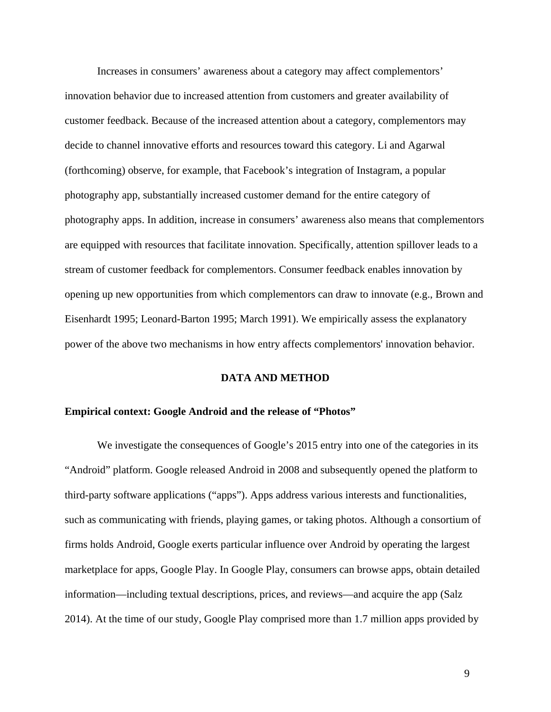Increases in consumers' awareness about a category may affect complementors' innovation behavior due to increased attention from customers and greater availability of customer feedback. Because of the increased attention about a category, complementors may decide to channel innovative efforts and resources toward this category. Li and Agarwal (forthcoming) observe, for example, that Facebook's integration of Instagram, a popular photography app, substantially increased customer demand for the entire category of photography apps. In addition, increase in consumers' awareness also means that complementors are equipped with resources that facilitate innovation. Specifically, attention spillover leads to a stream of customer feedback for complementors. Consumer feedback enables innovation by opening up new opportunities from which complementors can draw to innovate (e.g., Brown and Eisenhardt 1995; Leonard-Barton 1995; March 1991). We empirically assess the explanatory power of the above two mechanisms in how entry affects complementors' innovation behavior.

#### **DATA AND METHOD**

#### **Empirical context: Google Android and the release of "Photos"**

We investigate the consequences of Google's 2015 entry into one of the categories in its "Android" platform. Google released Android in 2008 and subsequently opened the platform to third-party software applications ("apps"). Apps address various interests and functionalities, such as communicating with friends, playing games, or taking photos. Although a consortium of firms holds Android, Google exerts particular influence over Android by operating the largest marketplace for apps, Google Play. In Google Play, consumers can browse apps, obtain detailed information—including textual descriptions, prices, and reviews—and acquire the app (Salz 2014). At the time of our study, Google Play comprised more than 1.7 million apps provided by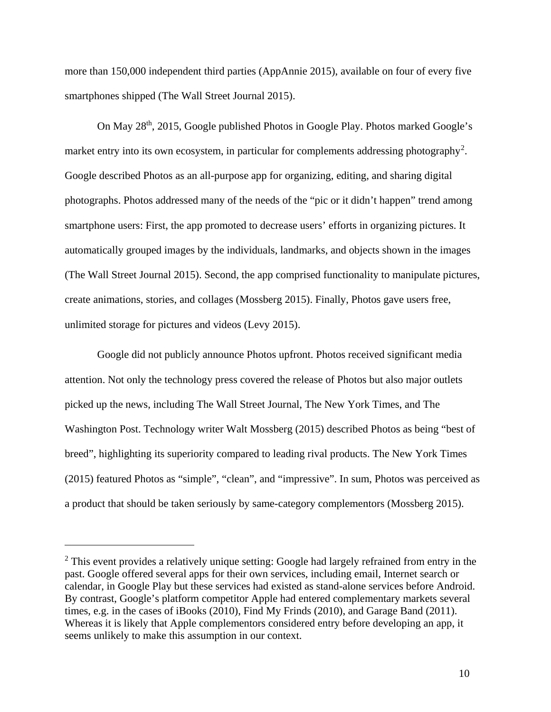more than 150,000 independent third parties (AppAnnie 2015), available on four of every five smartphones shipped (The Wall Street Journal 2015).

On May 28th, 2015, Google published Photos in Google Play. Photos marked Google's market entry into its own ecosystem, in particular for complements addressing photography<sup>[2](#page-9-0)</sup>. Google described Photos as an all-purpose app for organizing, editing, and sharing digital photographs. Photos addressed many of the needs of the "pic or it didn't happen" trend among smartphone users: First, the app promoted to decrease users' efforts in organizing pictures. It automatically grouped images by the individuals, landmarks, and objects shown in the images (The Wall Street Journal 2015). Second, the app comprised functionality to manipulate pictures, create animations, stories, and collages (Mossberg 2015). Finally, Photos gave users free, unlimited storage for pictures and videos (Levy 2015).

Google did not publicly announce Photos upfront. Photos received significant media attention. Not only the technology press covered the release of Photos but also major outlets picked up the news, including The Wall Street Journal, The New York Times, and The Washington Post. Technology writer Walt Mossberg (2015) described Photos as being "best of breed", highlighting its superiority compared to leading rival products. The New York Times (2015) featured Photos as "simple", "clean", and "impressive". In sum, Photos was perceived as a product that should be taken seriously by same-category complementors (Mossberg 2015).

 $\overline{a}$ 

<span id="page-9-0"></span><sup>&</sup>lt;sup>2</sup> This event provides a relatively unique setting: Google had largely refrained from entry in the past. Google offered several apps for their own services, including email, Internet search or calendar, in Google Play but these services had existed as stand-alone services before Android. By contrast, Google's platform competitor Apple had entered complementary markets several times, e.g. in the cases of iBooks (2010), Find My Frinds (2010), and Garage Band (2011). Whereas it is likely that Apple complementors considered entry before developing an app, it seems unlikely to make this assumption in our context.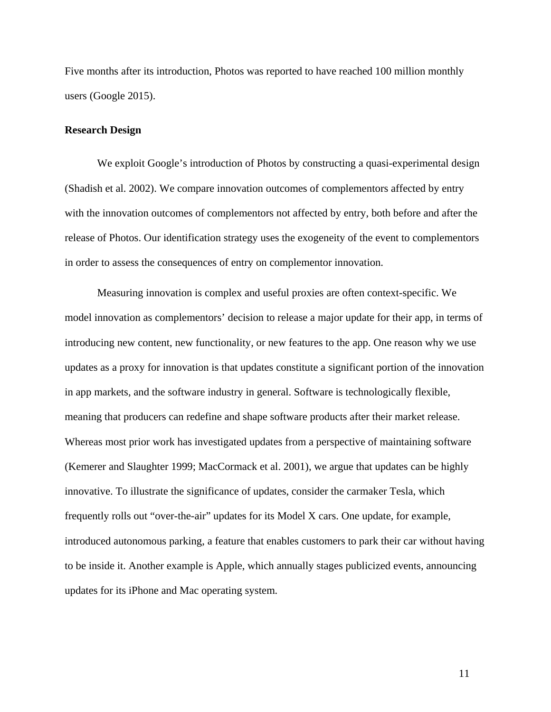Five months after its introduction, Photos was reported to have reached 100 million monthly users (Google 2015).

#### **Research Design**

We exploit Google's introduction of Photos by constructing a quasi-experimental design (Shadish et al. 2002). We compare innovation outcomes of complementors affected by entry with the innovation outcomes of complementors not affected by entry, both before and after the release of Photos. Our identification strategy uses the exogeneity of the event to complementors in order to assess the consequences of entry on complementor innovation.

Measuring innovation is complex and useful proxies are often context-specific. We model innovation as complementors' decision to release a major update for their app, in terms of introducing new content, new functionality, or new features to the app. One reason why we use updates as a proxy for innovation is that updates constitute a significant portion of the innovation in app markets, and the software industry in general. Software is technologically flexible, meaning that producers can redefine and shape software products after their market release. Whereas most prior work has investigated updates from a perspective of maintaining software (Kemerer and Slaughter 1999; MacCormack et al. 2001), we argue that updates can be highly innovative. To illustrate the significance of updates, consider the carmaker Tesla, which frequently rolls out "over-the-air" updates for its Model X cars. One update, for example, introduced autonomous parking, a feature that enables customers to park their car without having to be inside it. Another example is Apple, which annually stages publicized events, announcing updates for its iPhone and Mac operating system.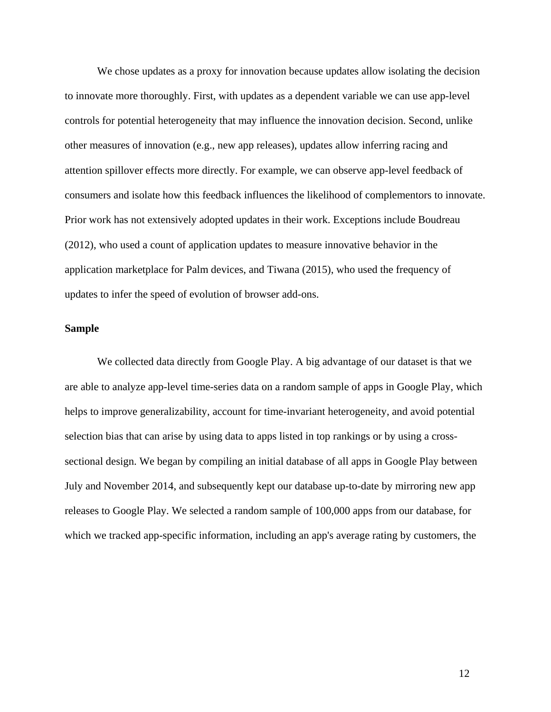We chose updates as a proxy for innovation because updates allow isolating the decision to innovate more thoroughly. First, with updates as a dependent variable we can use app-level controls for potential heterogeneity that may influence the innovation decision. Second, unlike other measures of innovation (e.g., new app releases), updates allow inferring racing and attention spillover effects more directly. For example, we can observe app-level feedback of consumers and isolate how this feedback influences the likelihood of complementors to innovate. Prior work has not extensively adopted updates in their work. Exceptions include Boudreau (2012), who used a count of application updates to measure innovative behavior in the application marketplace for Palm devices, and Tiwana (2015), who used the frequency of updates to infer the speed of evolution of browser add-ons.

## **Sample**

We collected data directly from Google Play. A big advantage of our dataset is that we are able to analyze app-level time-series data on a random sample of apps in Google Play, which helps to improve generalizability, account for time-invariant heterogeneity, and avoid potential selection bias that can arise by using data to apps listed in top rankings or by using a crosssectional design. We began by compiling an initial database of all apps in Google Play between July and November 2014, and subsequently kept our database up-to-date by mirroring new app releases to Google Play. We selected a random sample of 100,000 apps from our database, for which we tracked app-specific information, including an app's average rating by customers, the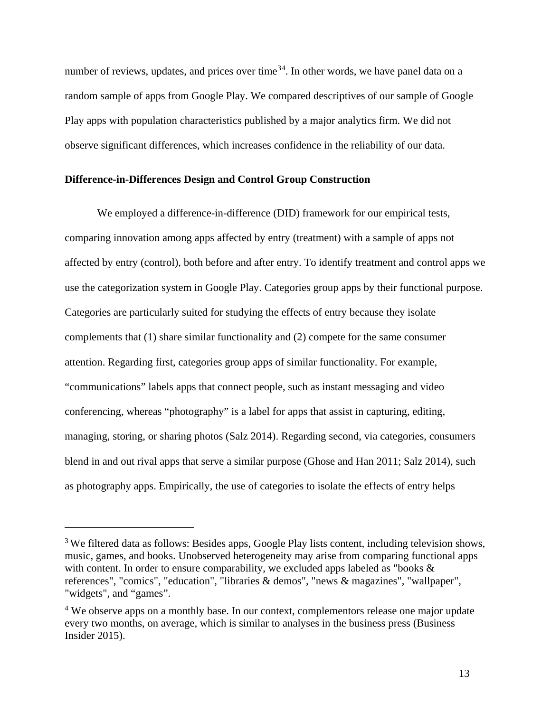number of reviews, updates, and prices over time<sup>[3](#page-12-0)[4](#page-12-1)</sup>. In other words, we have panel data on a random sample of apps from Google Play. We compared descriptives of our sample of Google Play apps with population characteristics published by a major analytics firm. We did not observe significant differences, which increases confidence in the reliability of our data.

## **Difference-in-Differences Design and Control Group Construction**

We employed a difference-in-difference (DID) framework for our empirical tests, comparing innovation among apps affected by entry (treatment) with a sample of apps not affected by entry (control), both before and after entry. To identify treatment and control apps we use the categorization system in Google Play. Categories group apps by their functional purpose. Categories are particularly suited for studying the effects of entry because they isolate complements that (1) share similar functionality and (2) compete for the same consumer attention. Regarding first, categories group apps of similar functionality. For example, "communications" labels apps that connect people, such as instant messaging and video conferencing, whereas "photography" is a label for apps that assist in capturing, editing, managing, storing, or sharing photos (Salz 2014). Regarding second, via categories, consumers blend in and out rival apps that serve a similar purpose (Ghose and Han 2011; Salz 2014), such as photography apps. Empirically, the use of categories to isolate the effects of entry helps

 $\overline{a}$ 

<span id="page-12-0"></span><sup>&</sup>lt;sup>3</sup> We filtered data as follows: Besides apps, Google Play lists content, including television shows, music, games, and books. Unobserved heterogeneity may arise from comparing functional apps with content. In order to ensure comparability, we excluded apps labeled as "books  $\&$ references", "comics", "education", "libraries & demos", "news & magazines", "wallpaper", "widgets", and "games".

<span id="page-12-1"></span><sup>&</sup>lt;sup>4</sup> We observe apps on a monthly base. In our context, complementors release one major update every two months, on average, which is similar to analyses in the business press (Business Insider 2015).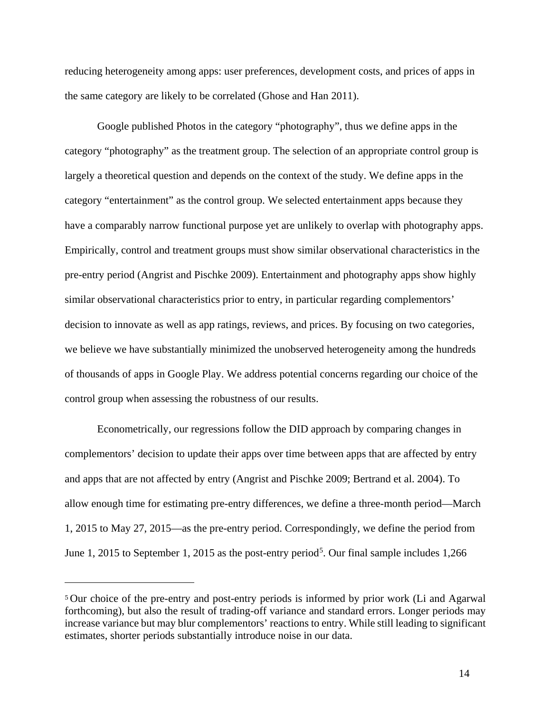reducing heterogeneity among apps: user preferences, development costs, and prices of apps in the same category are likely to be correlated (Ghose and Han 2011).

Google published Photos in the category "photography", thus we define apps in the category "photography" as the treatment group. The selection of an appropriate control group is largely a theoretical question and depends on the context of the study. We define apps in the category "entertainment" as the control group. We selected entertainment apps because they have a comparably narrow functional purpose yet are unlikely to overlap with photography apps. Empirically, control and treatment groups must show similar observational characteristics in the pre-entry period (Angrist and Pischke 2009). Entertainment and photography apps show highly similar observational characteristics prior to entry, in particular regarding complementors' decision to innovate as well as app ratings, reviews, and prices. By focusing on two categories, we believe we have substantially minimized the unobserved heterogeneity among the hundreds of thousands of apps in Google Play. We address potential concerns regarding our choice of the control group when assessing the robustness of our results.

Econometrically, our regressions follow the DID approach by comparing changes in complementors' decision to update their apps over time between apps that are affected by entry and apps that are not affected by entry (Angrist and Pischke 2009; Bertrand et al. 2004). To allow enough time for estimating pre-entry differences, we define a three-month period—March 1, 2015 to May 27, 2015—as the pre-entry period. Correspondingly, we define the period from June 1, 201[5](#page-13-0) to September 1, 2015 as the post-entry period<sup>5</sup>. Our final sample includes  $1,266$ 

 $\overline{a}$ 

<span id="page-13-0"></span><sup>5</sup> Our choice of the pre-entry and post-entry periods is informed by prior work (Li and Agarwal forthcoming), but also the result of trading-off variance and standard errors. Longer periods may increase variance but may blur complementors' reactions to entry. While still leading to significant estimates, shorter periods substantially introduce noise in our data.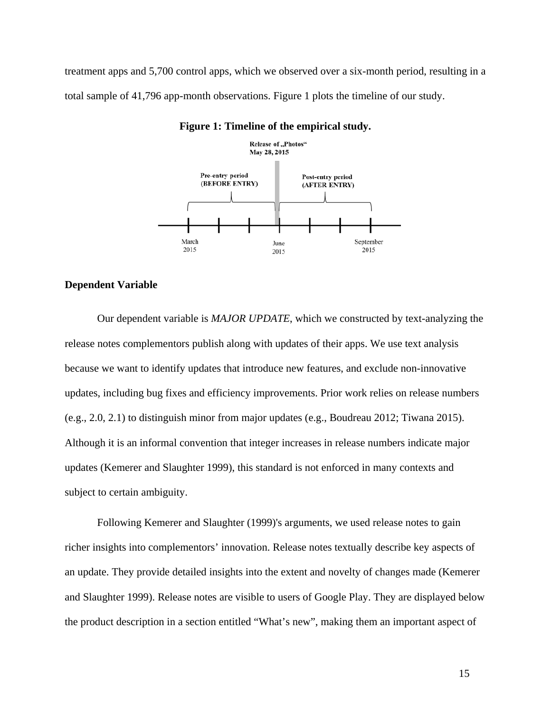treatment apps and 5,700 control apps, which we observed over a six-month period, resulting in a total sample of 41,796 app-month observations. Figure 1 plots the timeline of our study.



#### **Figure 1: Timeline of the empirical study.**

#### **Dependent Variable**

Our dependent variable is *MAJOR UPDATE*, which we constructed by text-analyzing the release notes complementors publish along with updates of their apps. We use text analysis because we want to identify updates that introduce new features, and exclude non-innovative updates, including bug fixes and efficiency improvements. Prior work relies on release numbers (e.g., 2.0, 2.1) to distinguish minor from major updates (e.g., Boudreau 2012; Tiwana 2015). Although it is an informal convention that integer increases in release numbers indicate major updates (Kemerer and Slaughter 1999), this standard is not enforced in many contexts and subject to certain ambiguity.

Following Kemerer and Slaughter (1999)'s arguments, we used release notes to gain richer insights into complementors' innovation. Release notes textually describe key aspects of an update. They provide detailed insights into the extent and novelty of changes made (Kemerer and Slaughter 1999). Release notes are visible to users of Google Play. They are displayed below the product description in a section entitled "What's new", making them an important aspect of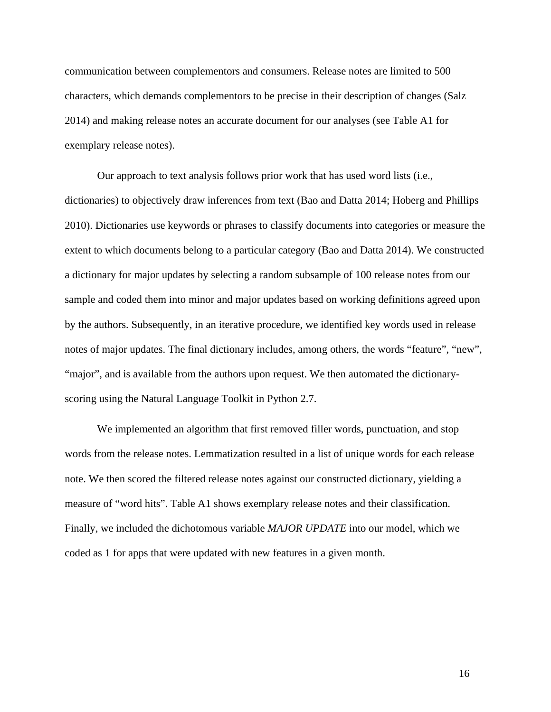communication between complementors and consumers. Release notes are limited to 500 characters, which demands complementors to be precise in their description of changes (Salz 2014) and making release notes an accurate document for our analyses (see Table A1 for exemplary release notes).

Our approach to text analysis follows prior work that has used word lists (i.e., dictionaries) to objectively draw inferences from text (Bao and Datta 2014; Hoberg and Phillips 2010). Dictionaries use keywords or phrases to classify documents into categories or measure the extent to which documents belong to a particular category (Bao and Datta 2014). We constructed a dictionary for major updates by selecting a random subsample of 100 release notes from our sample and coded them into minor and major updates based on working definitions agreed upon by the authors. Subsequently, in an iterative procedure, we identified key words used in release notes of major updates. The final dictionary includes, among others, the words "feature", "new", "major", and is available from the authors upon request. We then automated the dictionaryscoring using the Natural Language Toolkit in Python 2.7.

We implemented an algorithm that first removed filler words, punctuation, and stop words from the release notes. Lemmatization resulted in a list of unique words for each release note. We then scored the filtered release notes against our constructed dictionary, yielding a measure of "word hits". Table A1 shows exemplary release notes and their classification. Finally, we included the dichotomous variable *MAJOR UPDATE* into our model, which we coded as 1 for apps that were updated with new features in a given month.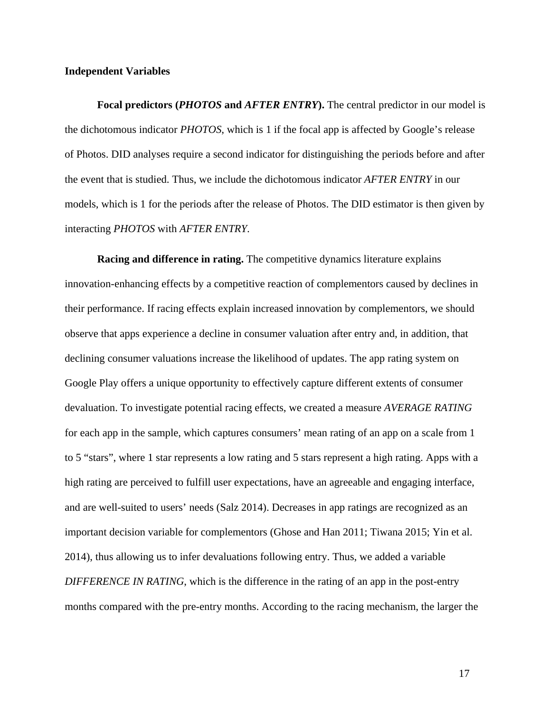## **Independent Variables**

**Focal predictors (***PHOTOS* **and** *AFTER ENTRY***).** The central predictor in our model is the dichotomous indicator *PHOTOS*, which is 1 if the focal app is affected by Google's release of Photos. DID analyses require a second indicator for distinguishing the periods before and after the event that is studied. Thus, we include the dichotomous indicator *AFTER ENTRY* in our models, which is 1 for the periods after the release of Photos. The DID estimator is then given by interacting *PHOTOS* with *AFTER ENTRY*.

**Racing and difference in rating.** The competitive dynamics literature explains innovation-enhancing effects by a competitive reaction of complementors caused by declines in their performance. If racing effects explain increased innovation by complementors, we should observe that apps experience a decline in consumer valuation after entry and, in addition, that declining consumer valuations increase the likelihood of updates. The app rating system on Google Play offers a unique opportunity to effectively capture different extents of consumer devaluation. To investigate potential racing effects, we created a measure *AVERAGE RATING* for each app in the sample, which captures consumers' mean rating of an app on a scale from 1 to 5 "stars", where 1 star represents a low rating and 5 stars represent a high rating. Apps with a high rating are perceived to fulfill user expectations, have an agreeable and engaging interface, and are well-suited to users' needs (Salz 2014). Decreases in app ratings are recognized as an important decision variable for complementors (Ghose and Han 2011; Tiwana 2015; Yin et al. 2014), thus allowing us to infer devaluations following entry. Thus, we added a variable *DIFFERENCE IN RATING*, which is the difference in the rating of an app in the post-entry months compared with the pre-entry months. According to the racing mechanism, the larger the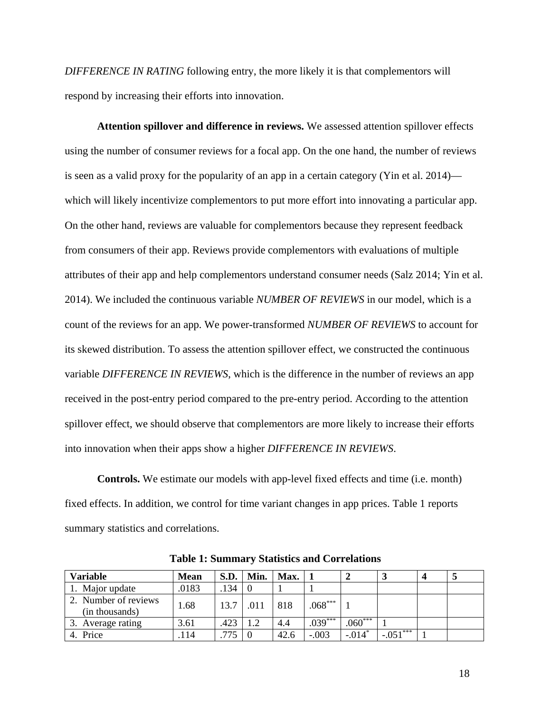*DIFFERENCE IN RATING* following entry, the more likely it is that complementors will respond by increasing their efforts into innovation.

**Attention spillover and difference in reviews.** We assessed attention spillover effects using the number of consumer reviews for a focal app. On the one hand, the number of reviews is seen as a valid proxy for the popularity of an app in a certain category (Yin et al. 2014) which will likely incentivize complementors to put more effort into innovating a particular app. On the other hand, reviews are valuable for complementors because they represent feedback from consumers of their app. Reviews provide complementors with evaluations of multiple attributes of their app and help complementors understand consumer needs (Salz 2014; Yin et al. 2014). We included the continuous variable *NUMBER OF REVIEWS* in our model, which is a count of the reviews for an app. We power-transformed *NUMBER OF REVIEWS* to account for its skewed distribution. To assess the attention spillover effect, we constructed the continuous variable *DIFFERENCE IN REVIEWS*, which is the difference in the number of reviews an app received in the post-entry period compared to the pre-entry period. According to the attention spillover effect, we should observe that complementors are more likely to increase their efforts into innovation when their apps show a higher *DIFFERENCE IN REVIEWS*.

**Controls.** We estimate our models with app-level fixed effects and time (i.e. month) fixed effects. In addition, we control for time variant changes in app prices. Table 1 reports summary statistics and correlations.

| <b>Variable</b>                        | <b>Mean</b> | S.D. | Min. | Max. |           |           | $\bullet$   |  |
|----------------------------------------|-------------|------|------|------|-----------|-----------|-------------|--|
| 1. Major update                        | .0183       | .134 |      |      |           |           |             |  |
| 2. Number of reviews<br>(in thousands) | 1.68        | 13.7 | .011 | 818  | $.068***$ |           |             |  |
| Average rating                         | 3.61        | .423 | 1.2  | 4.4  | $.039***$ | $.060***$ |             |  |
| 4. Price                               | . 14        |      |      | 42.6 | $-.003$   | $-.014*$  | $-0.051***$ |  |

**Table 1: Summary Statistics and Correlations**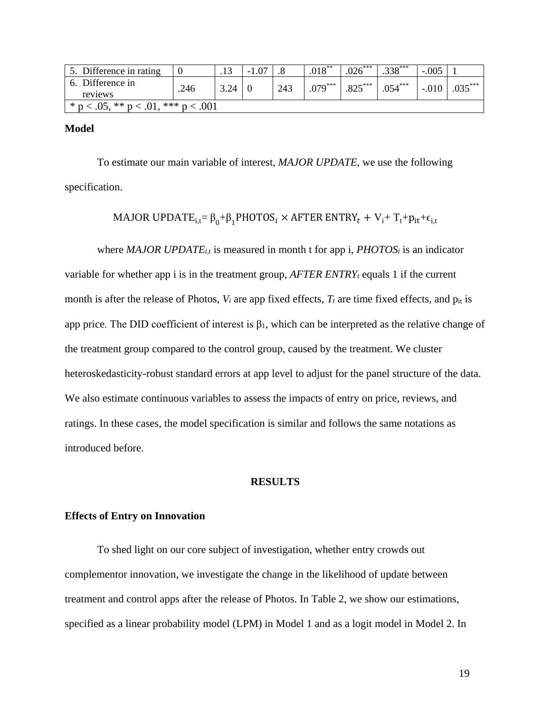| 5. Difference in rating                     |      |      | $-1.07$ |     | $.018***$ | $.026***$ | $.338***$ | $-.005$ |           |
|---------------------------------------------|------|------|---------|-----|-----------|-----------|-----------|---------|-----------|
| 6. Difference in                            | .246 | 3.24 |         | 243 | $.079***$ | $825***$  | $.054***$ | $-.010$ | $.035***$ |
| reviews                                     |      |      |         |     |           |           |           |         |           |
| * $p < .05$ , ** $p < .01$ , *** $p < .001$ |      |      |         |     |           |           |           |         |           |

**Model**

To estimate our main variable of interest, *MAJOR UPDATE*, we use the following specification.

MAJOR UPDAT $E_{i,t} = \beta_0 + \beta_1$ PHOTOS<sub>i</sub> × AFTER ENTRY<sub>t</sub> + V<sub>i</sub>+ T<sub>t</sub>+p<sub>it</sub>+ $\epsilon_{i,t}$ 

where *MAJOR UPDATE<sub>i,t</sub>* is measured in month t for app i, *PHOTOS<sub>i</sub>* is an indicator variable for whether app i is in the treatment group,  $AFTER$  *ENTRY<sub>t</sub>* equals 1 if the current month is after the release of Photos,  $V_i$  are app fixed effects,  $T_t$  are time fixed effects, and  $p_{it}$  is app price. The DID coefficient of interest is  $\beta_1$ , which can be interpreted as the relative change of the treatment group compared to the control group, caused by the treatment. We cluster heteroskedasticity-robust standard errors at app level to adjust for the panel structure of the data. We also estimate continuous variables to assess the impacts of entry on price, reviews, and ratings. In these cases, the model specification is similar and follows the same notations as introduced before.

## **RESULTS**

#### **Effects of Entry on Innovation**

To shed light on our core subject of investigation, whether entry crowds out complementor innovation, we investigate the change in the likelihood of update between treatment and control apps after the release of Photos. In Table 2, we show our estimations, specified as a linear probability model (LPM) in Model 1 and as a logit model in Model 2. In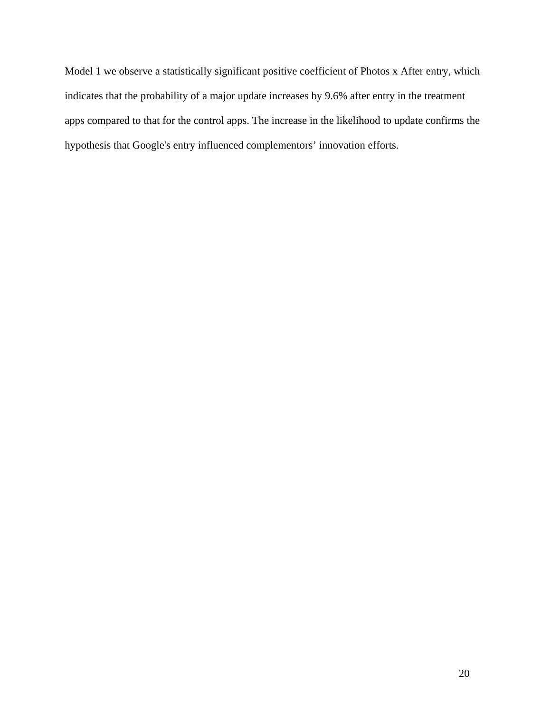Model 1 we observe a statistically significant positive coefficient of Photos x After entry, which indicates that the probability of a major update increases by 9.6% after entry in the treatment apps compared to that for the control apps. The increase in the likelihood to update confirms the hypothesis that Google's entry influenced complementors' innovation efforts.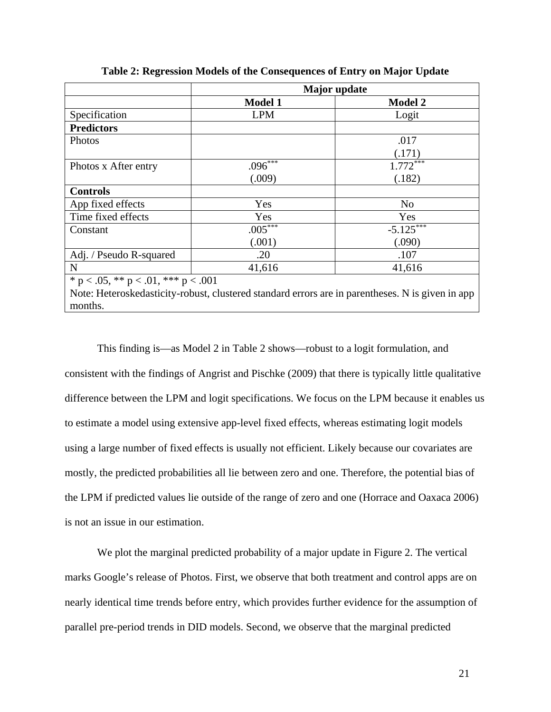|                                             |                         | <b>Major</b> update                                                                              |
|---------------------------------------------|-------------------------|--------------------------------------------------------------------------------------------------|
|                                             | <b>Model 1</b>          | <b>Model 2</b>                                                                                   |
| Specification                               | <b>LPM</b>              | Logit                                                                                            |
| <b>Predictors</b>                           |                         |                                                                                                  |
| Photos                                      |                         | .017                                                                                             |
|                                             |                         | (.171)                                                                                           |
| Photos x After entry                        | $.096***$               | $1.772***$                                                                                       |
|                                             | (.009)                  | (.182)                                                                                           |
| <b>Controls</b>                             |                         |                                                                                                  |
| App fixed effects                           | Yes                     | No                                                                                               |
| Time fixed effects                          | Yes                     | Yes                                                                                              |
| Constant                                    | $.005^{\overline{***}}$ | $-5.125***$                                                                                      |
|                                             | (.001)                  | (.090)                                                                                           |
| Adj. / Pseudo R-squared                     | .20                     | .107                                                                                             |
| N                                           | 41,616                  | 41,616                                                                                           |
| * $p < .05$ , ** $p < .01$ , *** $p < .001$ |                         |                                                                                                  |
|                                             |                         | Note: Heteroskedasticity-robust, clustered standard errors are in parentheses. N is given in app |

months.

**Table 2: Regression Models of the Consequences of Entry on Major Update**

This finding is—as Model 2 in Table 2 shows—robust to a logit formulation, and consistent with the findings of Angrist and Pischke (2009) that there is typically little qualitative difference between the LPM and logit specifications. We focus on the LPM because it enables us to estimate a model using extensive app-level fixed effects, whereas estimating logit models using a large number of fixed effects is usually not efficient. Likely because our covariates are mostly, the predicted probabilities all lie between zero and one. Therefore, the potential bias of the LPM if predicted values lie outside of the range of zero and one (Horrace and Oaxaca 2006) is not an issue in our estimation.

We plot the marginal predicted probability of a major update in Figure 2. The vertical marks Google's release of Photos. First, we observe that both treatment and control apps are on nearly identical time trends before entry, which provides further evidence for the assumption of parallel pre-period trends in DID models. Second, we observe that the marginal predicted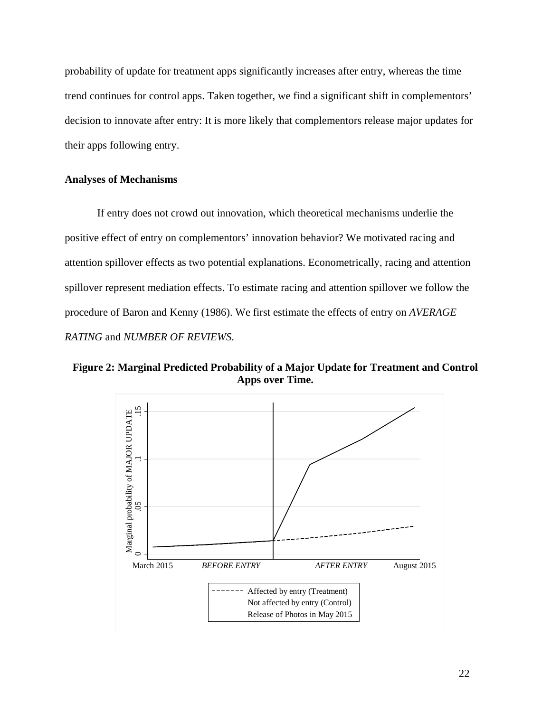probability of update for treatment apps significantly increases after entry, whereas the time trend continues for control apps. Taken together, we find a significant shift in complementors' decision to innovate after entry: It is more likely that complementors release major updates for their apps following entry.

## **Analyses of Mechanisms**

If entry does not crowd out innovation, which theoretical mechanisms underlie the positive effect of entry on complementors' innovation behavior? We motivated racing and attention spillover effects as two potential explanations. Econometrically, racing and attention spillover represent mediation effects. To estimate racing and attention spillover we follow the procedure of Baron and Kenny (1986). We first estimate the effects of entry on *AVERAGE RATING* and *NUMBER OF REVIEWS*.

**Figure 2: Marginal Predicted Probability of a Major Update for Treatment and Control Apps over Time.**

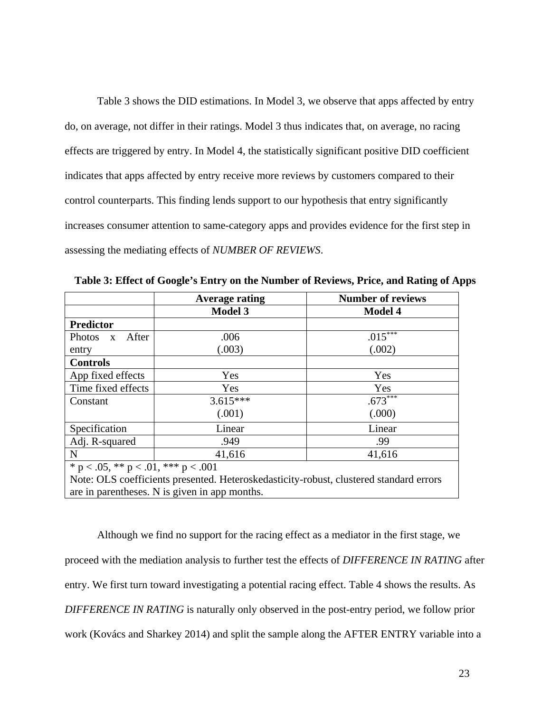Table 3 shows the DID estimations. In Model 3, we observe that apps affected by entry do, on average, not differ in their ratings. Model 3 thus indicates that, on average, no racing effects are triggered by entry. In Model 4, the statistically significant positive DID coefficient indicates that apps affected by entry receive more reviews by customers compared to their control counterparts. This finding lends support to our hypothesis that entry significantly increases consumer attention to same-category apps and provides evidence for the first step in assessing the mediating effects of *NUMBER OF REVIEWS*.

|                                             | <b>Average rating</b>                                                                  | <b>Number of reviews</b> |
|---------------------------------------------|----------------------------------------------------------------------------------------|--------------------------|
|                                             | <b>Model 3</b>                                                                         | <b>Model 4</b>           |
| <b>Predictor</b>                            |                                                                                        |                          |
| Photos x After                              | .006                                                                                   | $.015^{\overline{***}}$  |
| entry                                       | (.003)                                                                                 | (.002)                   |
| <b>Controls</b>                             |                                                                                        |                          |
| App fixed effects                           | Yes                                                                                    | Yes                      |
| Time fixed effects                          | Yes                                                                                    | Yes                      |
| Constant                                    | $3.615***$                                                                             | $.673***$                |
|                                             | (.001)                                                                                 | (.000)                   |
| Specification                               | Linear                                                                                 | Linear                   |
| Adj. R-squared                              | .949                                                                                   | .99                      |
| $\mathbf N$                                 | 41,616                                                                                 | 41,616                   |
| * $p < .05$ , ** $p < .01$ , *** $p < .001$ |                                                                                        |                          |
|                                             | Note: OLS coefficients presented. Heteroskedasticity-robust, clustered standard errors |                          |
|                                             | are in parentheses. N is given in app months.                                          |                          |

**Table 3: Effect of Google's Entry on the Number of Reviews, Price, and Rating of Apps**

Although we find no support for the racing effect as a mediator in the first stage, we proceed with the mediation analysis to further test the effects of *DIFFERENCE IN RATING* after entry. We first turn toward investigating a potential racing effect. Table 4 shows the results. As *DIFFERENCE IN RATING* is naturally only observed in the post-entry period, we follow prior work (Kovács and Sharkey 2014) and split the sample along the AFTER ENTRY variable into a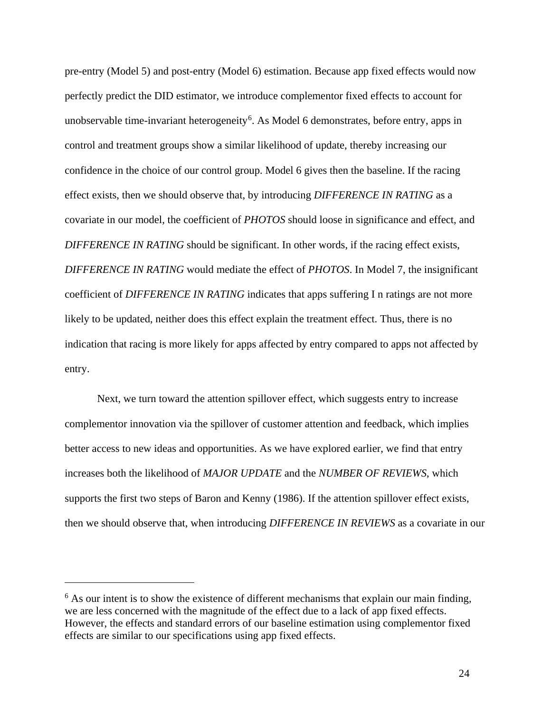pre-entry (Model 5) and post-entry (Model 6) estimation. Because app fixed effects would now perfectly predict the DID estimator, we introduce complementor fixed effects to account for unobservable time-invariant heterogeneity<sup>[6](#page-23-0)</sup>. As Model 6 demonstrates, before entry, apps in control and treatment groups show a similar likelihood of update, thereby increasing our confidence in the choice of our control group. Model 6 gives then the baseline. If the racing effect exists, then we should observe that, by introducing *DIFFERENCE IN RATING* as a covariate in our model, the coefficient of *PHOTOS* should loose in significance and effect, and *DIFFERENCE IN RATING* should be significant. In other words, if the racing effect exists, *DIFFERENCE IN RATING* would mediate the effect of *PHOTOS*. In Model 7, the insignificant coefficient of *DIFFERENCE IN RATING* indicates that apps suffering I n ratings are not more likely to be updated, neither does this effect explain the treatment effect. Thus, there is no indication that racing is more likely for apps affected by entry compared to apps not affected by entry.

Next, we turn toward the attention spillover effect, which suggests entry to increase complementor innovation via the spillover of customer attention and feedback, which implies better access to new ideas and opportunities. As we have explored earlier, we find that entry increases both the likelihood of *MAJOR UPDATE* and the *NUMBER OF REVIEWS*, which supports the first two steps of Baron and Kenny (1986). If the attention spillover effect exists, then we should observe that, when introducing *DIFFERENCE IN REVIEWS* as a covariate in our

 $\overline{a}$ 

<span id="page-23-0"></span> $6$  As our intent is to show the existence of different mechanisms that explain our main finding, we are less concerned with the magnitude of the effect due to a lack of app fixed effects. However, the effects and standard errors of our baseline estimation using complementor fixed effects are similar to our specifications using app fixed effects.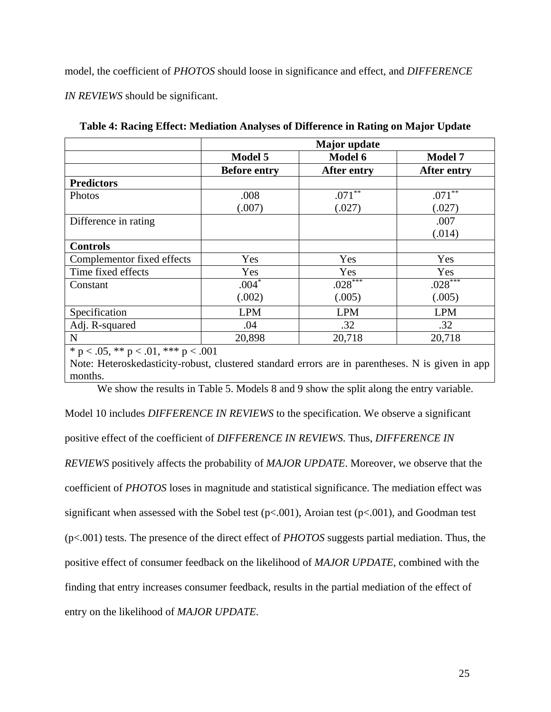model, the coefficient of *PHOTOS* should loose in significance and effect, and *DIFFERENCE* 

*IN REVIEWS* should be significant.

|                                             |                     | <b>Major</b> update |                    |
|---------------------------------------------|---------------------|---------------------|--------------------|
|                                             | <b>Model 5</b>      | Model 6             | <b>Model 7</b>     |
|                                             | <b>Before entry</b> | <b>After entry</b>  | <b>After entry</b> |
| <b>Predictors</b>                           |                     |                     |                    |
| Photos                                      | .008                | $.071***$           | $.071***$          |
|                                             | (.007)              | (.027)              | (.027)             |
| Difference in rating                        |                     |                     | .007               |
|                                             |                     |                     | (.014)             |
| <b>Controls</b>                             |                     |                     |                    |
| Complementor fixed effects                  | Yes                 | Yes                 | Yes                |
| Time fixed effects                          | Yes                 | Yes                 | Yes                |
| Constant                                    | $.004*$             | $.028***$           | $.028***$          |
|                                             | (.002)              | (.005)              | (.005)             |
| Specification                               | <b>LPM</b>          | <b>LPM</b>          | <b>LPM</b>         |
| Adj. R-squared                              | .04                 | .32                 | .32                |
| $\mathbf N$                                 | 20,898              | 20,718              | 20,718             |
| * $p < .05$ , ** $p < .01$ , *** $p < .001$ |                     |                     |                    |

**Table 4: Racing Effect: Mediation Analyses of Difference in Rating on Major Update**

Note: Heteroskedasticity-robust, clustered standard errors are in parentheses. N is given in app months.

We show the results in Table 5. Models 8 and 9 show the split along the entry variable.

Model 10 includes *DIFFERENCE IN REVIEWS* to the specification. We observe a significant positive effect of the coefficient of *DIFFERENCE IN REVIEWS*. Thus, *DIFFERENCE IN REVIEWS* positively affects the probability of *MAJOR UPDATE*. Moreover, we observe that the coefficient of *PHOTOS* loses in magnitude and statistical significance. The mediation effect was significant when assessed with the Sobel test  $(p<.001)$ , Aroian test  $(p<.001)$ , and Goodman test (p<.001) tests. The presence of the direct effect of *PHOTOS* suggests partial mediation. Thus, the positive effect of consumer feedback on the likelihood of *MAJOR UPDATE*, combined with the finding that entry increases consumer feedback, results in the partial mediation of the effect of entry on the likelihood of *MAJOR UPDATE*.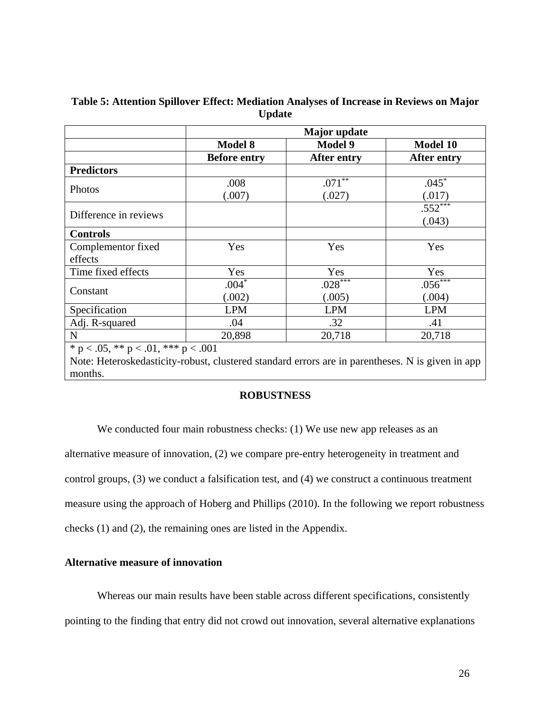|                                                                                                  |                     | <b>Major</b> update  |                    |
|--------------------------------------------------------------------------------------------------|---------------------|----------------------|--------------------|
|                                                                                                  | <b>Model 8</b>      | <b>Model 9</b>       | <b>Model 10</b>    |
|                                                                                                  | <b>Before entry</b> | <b>After entry</b>   | <b>After entry</b> |
| <b>Predictors</b>                                                                                |                     |                      |                    |
|                                                                                                  | .008                | $.071$ <sup>**</sup> | $.045*$            |
| <b>Photos</b>                                                                                    | (.007)              | (.027)               | (.017)             |
|                                                                                                  |                     |                      | $.552***$          |
| Difference in reviews                                                                            |                     |                      | (.043)             |
| <b>Controls</b>                                                                                  |                     |                      |                    |
| Complementor fixed                                                                               | Yes                 | Yes                  | Yes                |
| effects                                                                                          |                     |                      |                    |
| Time fixed effects                                                                               | Yes                 | Yes                  | Yes                |
|                                                                                                  | $.004*$             | $.028***$            | $.056***$          |
| Constant                                                                                         | (.002)              | (.005)               | (.004)             |
| Specification                                                                                    | <b>LPM</b>          | <b>LPM</b>           | <b>LPM</b>         |
| Adj. R-squared                                                                                   | .04                 | .32                  | .41                |
| N                                                                                                | 20,898              | 20,718               | 20,718             |
| * $p < .05$ , ** $p < .01$ , *** $p < .001$                                                      |                     |                      |                    |
| Note: Heteroskedasticity-robust, clustered standard errors are in parentheses. N is given in app |                     |                      |                    |
| months.                                                                                          |                     |                      |                    |

# **Table 5: Attention Spillover Effect: Mediation Analyses of Increase in Reviews on Major Update**

## **ROBUSTNESS**

We conducted four main robustness checks: (1) We use new app releases as an alternative measure of innovation, (2) we compare pre-entry heterogeneity in treatment and control groups, (3) we conduct a falsification test, and (4) we construct a continuous treatment measure using the approach of Hoberg and Phillips (2010). In the following we report robustness checks (1) and (2), the remaining ones are listed in the Appendix.

# **Alternative measure of innovation**

Whereas our main results have been stable across different specifications, consistently pointing to the finding that entry did not crowd out innovation, several alternative explanations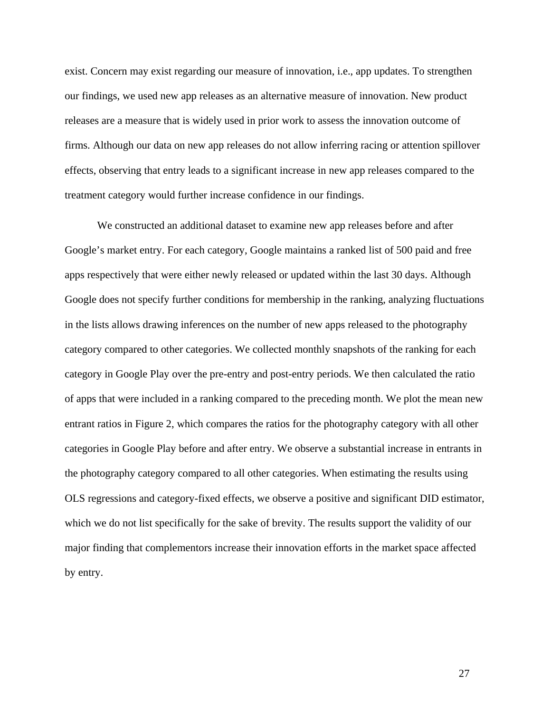exist. Concern may exist regarding our measure of innovation, i.e., app updates. To strengthen our findings, we used new app releases as an alternative measure of innovation. New product releases are a measure that is widely used in prior work to assess the innovation outcome of firms. Although our data on new app releases do not allow inferring racing or attention spillover effects, observing that entry leads to a significant increase in new app releases compared to the treatment category would further increase confidence in our findings.

We constructed an additional dataset to examine new app releases before and after Google's market entry. For each category, Google maintains a ranked list of 500 paid and free apps respectively that were either newly released or updated within the last 30 days. Although Google does not specify further conditions for membership in the ranking, analyzing fluctuations in the lists allows drawing inferences on the number of new apps released to the photography category compared to other categories. We collected monthly snapshots of the ranking for each category in Google Play over the pre-entry and post-entry periods. We then calculated the ratio of apps that were included in a ranking compared to the preceding month. We plot the mean new entrant ratios in Figure 2, which compares the ratios for the photography category with all other categories in Google Play before and after entry. We observe a substantial increase in entrants in the photography category compared to all other categories. When estimating the results using OLS regressions and category-fixed effects, we observe a positive and significant DID estimator, which we do not list specifically for the sake of brevity. The results support the validity of our major finding that complementors increase their innovation efforts in the market space affected by entry.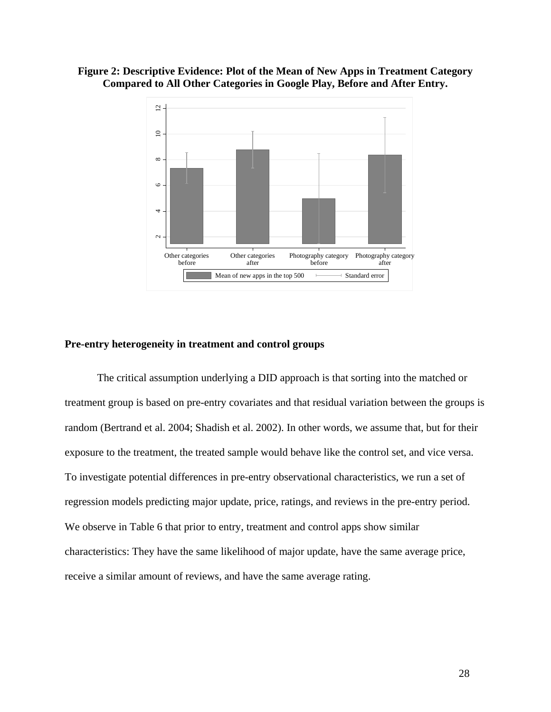



#### **Pre-entry heterogeneity in treatment and control groups**

The critical assumption underlying a DID approach is that sorting into the matched or treatment group is based on pre-entry covariates and that residual variation between the groups is random (Bertrand et al. 2004; Shadish et al. 2002). In other words, we assume that, but for their exposure to the treatment, the treated sample would behave like the control set, and vice versa. To investigate potential differences in pre-entry observational characteristics, we run a set of regression models predicting major update, price, ratings, and reviews in the pre-entry period. We observe in Table 6 that prior to entry, treatment and control apps show similar characteristics: They have the same likelihood of major update, have the same average price, receive a similar amount of reviews, and have the same average rating.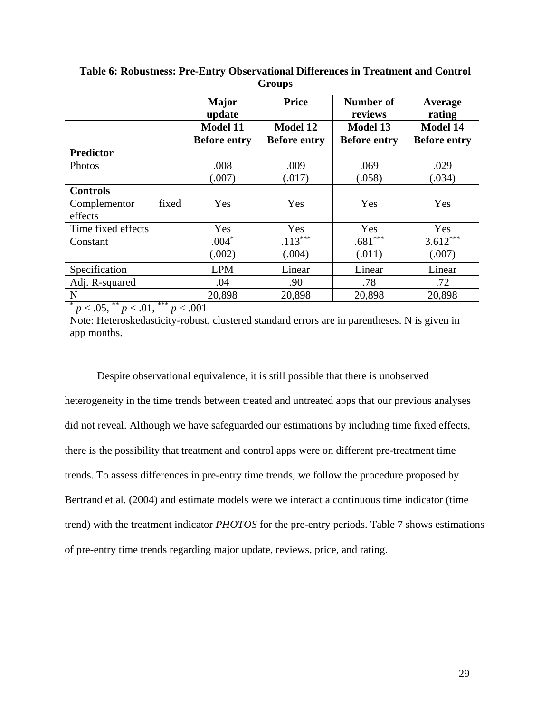|                                                                                                                                         | <b>Major</b><br>update | <b>Price</b>        | Number of<br>reviews | Average<br>rating   |  |
|-----------------------------------------------------------------------------------------------------------------------------------------|------------------------|---------------------|----------------------|---------------------|--|
|                                                                                                                                         | <b>Model 11</b>        | <b>Model 12</b>     | <b>Model 13</b>      | <b>Model 14</b>     |  |
|                                                                                                                                         | <b>Before entry</b>    | <b>Before entry</b> | <b>Before entry</b>  | <b>Before entry</b> |  |
| <b>Predictor</b>                                                                                                                        |                        |                     |                      |                     |  |
| Photos                                                                                                                                  | .008                   | .009                | .069                 | .029                |  |
|                                                                                                                                         | (.007)                 | (.017)              | (.058)               | (.034)              |  |
| <b>Controls</b>                                                                                                                         |                        |                     |                      |                     |  |
| Complementor<br>fixed                                                                                                                   | Yes                    | Yes                 | Yes                  | Yes                 |  |
| effects                                                                                                                                 |                        |                     |                      |                     |  |
| Time fixed effects                                                                                                                      | Yes                    | Yes                 | Yes                  | Yes                 |  |
| Constant                                                                                                                                | $.004*$                | $.113***$           | $.681***$            | $3.612***$          |  |
|                                                                                                                                         | (.002)                 | (.004)              | (.011)               | (.007)              |  |
| Specification                                                                                                                           | <b>LPM</b>             | Linear              | Linear               | Linear              |  |
| Adj. R-squared                                                                                                                          | .04                    | .90                 | .78                  | .72                 |  |
| $\mathbf N$                                                                                                                             | 20,898                 | 20,898              | 20,898               | 20,898              |  |
| $p < .05,$ ** $p < .01,$ *** $p < .001$<br>Note: Heteroskedasticity-robust, clustered standard errors are in parentheses. N is given in |                        |                     |                      |                     |  |

**Table 6: Robustness: Pre-Entry Observational Differences in Treatment and Control Groups**

app months.

Despite observational equivalence, it is still possible that there is unobserved heterogeneity in the time trends between treated and untreated apps that our previous analyses did not reveal. Although we have safeguarded our estimations by including time fixed effects, there is the possibility that treatment and control apps were on different pre-treatment time trends. To assess differences in pre-entry time trends, we follow the procedure proposed by Bertrand et al. (2004) and estimate models were we interact a continuous time indicator (time trend) with the treatment indicator *PHOTOS* for the pre-entry periods. Table 7 shows estimations of pre-entry time trends regarding major update, reviews, price, and rating.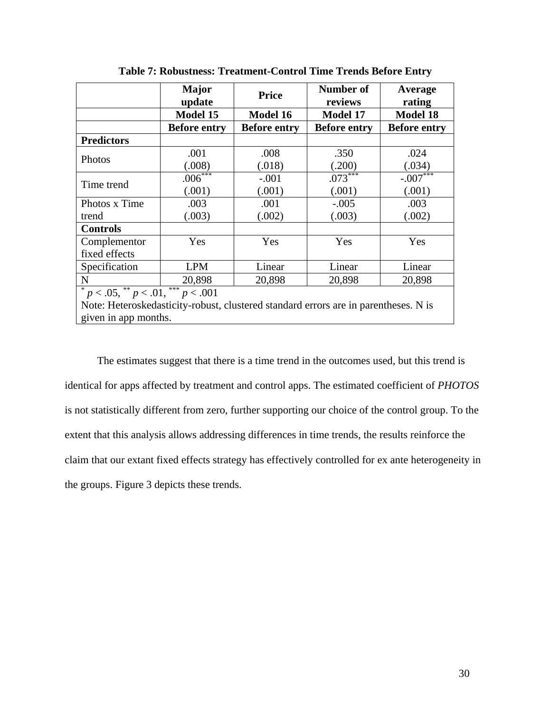|                                                                                     | <b>Major</b><br>update | <b>Price</b>        | Number of<br>reviews | Average<br>rating   |  |  |
|-------------------------------------------------------------------------------------|------------------------|---------------------|----------------------|---------------------|--|--|
|                                                                                     | Model 15               | <b>Model 16</b>     | <b>Model 17</b>      | <b>Model 18</b>     |  |  |
|                                                                                     | <b>Before entry</b>    | <b>Before entry</b> | <b>Before entry</b>  | <b>Before entry</b> |  |  |
| <b>Predictors</b>                                                                   |                        |                     |                      |                     |  |  |
| Photos                                                                              | .001                   | .008                | .350                 | .024                |  |  |
|                                                                                     | (.008)                 | (.018)              | (.200)               | (.034)              |  |  |
| Time trend                                                                          | $.006***$              | $-.001$             | $.073***$            | $-.007$ ***         |  |  |
|                                                                                     | (.001)                 | (.001)              | (.001)               | (.001)              |  |  |
| Photos x Time                                                                       | .003                   | .001                | $-.005$              | .003                |  |  |
| trend                                                                               | (.003)                 | (.002)              | (.003)               | (.002)              |  |  |
| <b>Controls</b>                                                                     |                        |                     |                      |                     |  |  |
| Complementor                                                                        | Yes                    | Yes                 | Yes                  | Yes                 |  |  |
| fixed effects                                                                       |                        |                     |                      |                     |  |  |
| Specification                                                                       | <b>LPM</b>             | Linear              | Linear               | Linear              |  |  |
| $\mathbf N$                                                                         | 20,898                 | 20,898              | 20,898               | 20,898              |  |  |
| $p < .05,$ ** $p < .01,$ *** $p < .001$                                             |                        |                     |                      |                     |  |  |
| Note: Heteroskedasticity-robust, clustered standard errors are in parentheses. N is |                        |                     |                      |                     |  |  |
| given in app months.                                                                |                        |                     |                      |                     |  |  |

**Table 7: Robustness: Treatment-Control Time Trends Before Entry**

The estimates suggest that there is a time trend in the outcomes used, but this trend is identical for apps affected by treatment and control apps. The estimated coefficient of *PHOTOS* is not statistically different from zero, further supporting our choice of the control group. To the extent that this analysis allows addressing differences in time trends, the results reinforce the claim that our extant fixed effects strategy has effectively controlled for ex ante heterogeneity in the groups. Figure 3 depicts these trends.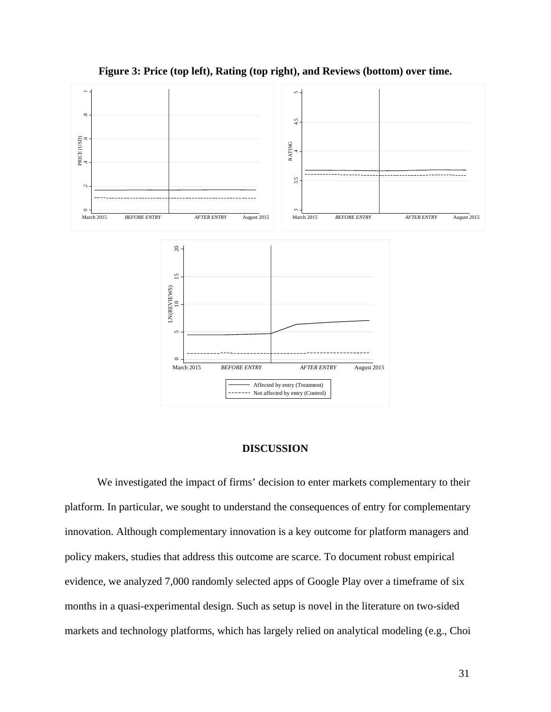

**Figure 3: Price (top left), Rating (top right), and Reviews (bottom) over time.**

#### **DISCUSSION**

We investigated the impact of firms' decision to enter markets complementary to their platform. In particular, we sought to understand the consequences of entry for complementary innovation. Although complementary innovation is a key outcome for platform managers and policy makers, studies that address this outcome are scarce. To document robust empirical evidence, we analyzed 7,000 randomly selected apps of Google Play over a timeframe of six months in a quasi-experimental design. Such as setup is novel in the literature on two-sided markets and technology platforms, which has largely relied on analytical modeling (e.g., Choi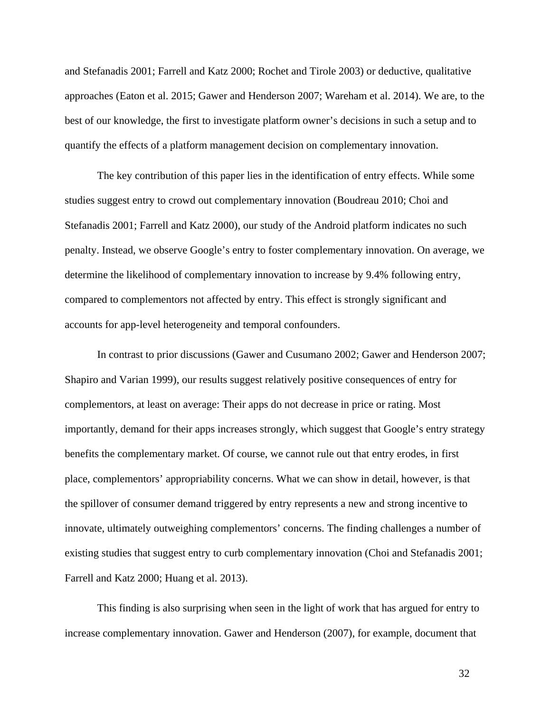and Stefanadis 2001; Farrell and Katz 2000; Rochet and Tirole 2003) or deductive, qualitative approaches (Eaton et al. 2015; Gawer and Henderson 2007; Wareham et al. 2014). We are, to the best of our knowledge, the first to investigate platform owner's decisions in such a setup and to quantify the effects of a platform management decision on complementary innovation.

The key contribution of this paper lies in the identification of entry effects. While some studies suggest entry to crowd out complementary innovation (Boudreau 2010; Choi and Stefanadis 2001; Farrell and Katz 2000), our study of the Android platform indicates no such penalty. Instead, we observe Google's entry to foster complementary innovation. On average, we determine the likelihood of complementary innovation to increase by 9.4% following entry, compared to complementors not affected by entry. This effect is strongly significant and accounts for app-level heterogeneity and temporal confounders.

In contrast to prior discussions (Gawer and Cusumano 2002; Gawer and Henderson 2007; Shapiro and Varian 1999), our results suggest relatively positive consequences of entry for complementors, at least on average: Their apps do not decrease in price or rating. Most importantly, demand for their apps increases strongly, which suggest that Google's entry strategy benefits the complementary market. Of course, we cannot rule out that entry erodes, in first place, complementors' appropriability concerns. What we can show in detail, however, is that the spillover of consumer demand triggered by entry represents a new and strong incentive to innovate, ultimately outweighing complementors' concerns. The finding challenges a number of existing studies that suggest entry to curb complementary innovation (Choi and Stefanadis 2001; Farrell and Katz 2000; Huang et al. 2013).

This finding is also surprising when seen in the light of work that has argued for entry to increase complementary innovation. Gawer and Henderson (2007), for example, document that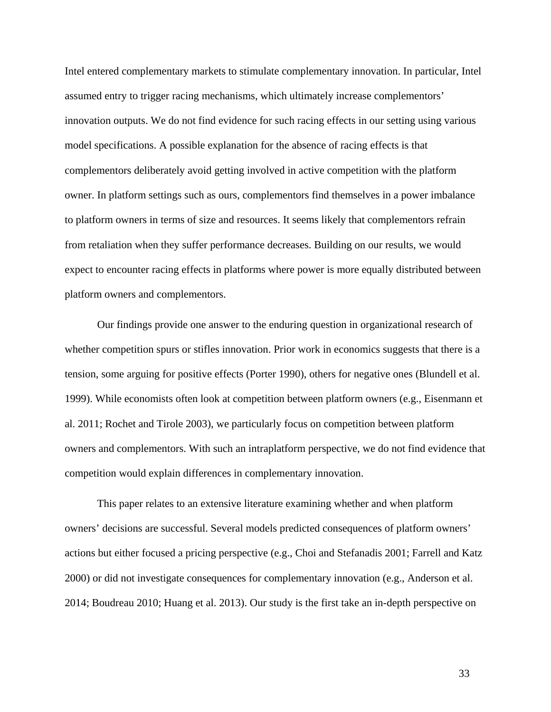Intel entered complementary markets to stimulate complementary innovation. In particular, Intel assumed entry to trigger racing mechanisms, which ultimately increase complementors' innovation outputs. We do not find evidence for such racing effects in our setting using various model specifications. A possible explanation for the absence of racing effects is that complementors deliberately avoid getting involved in active competition with the platform owner. In platform settings such as ours, complementors find themselves in a power imbalance to platform owners in terms of size and resources. It seems likely that complementors refrain from retaliation when they suffer performance decreases. Building on our results, we would expect to encounter racing effects in platforms where power is more equally distributed between platform owners and complementors.

Our findings provide one answer to the enduring question in organizational research of whether competition spurs or stifles innovation. Prior work in economics suggests that there is a tension, some arguing for positive effects (Porter 1990), others for negative ones (Blundell et al. 1999). While economists often look at competition between platform owners (e.g., Eisenmann et al. 2011; Rochet and Tirole 2003), we particularly focus on competition between platform owners and complementors. With such an intraplatform perspective, we do not find evidence that competition would explain differences in complementary innovation.

This paper relates to an extensive literature examining whether and when platform owners' decisions are successful. Several models predicted consequences of platform owners' actions but either focused a pricing perspective (e.g., Choi and Stefanadis 2001; Farrell and Katz 2000) or did not investigate consequences for complementary innovation (e.g., Anderson et al. 2014; Boudreau 2010; Huang et al. 2013). Our study is the first take an in-depth perspective on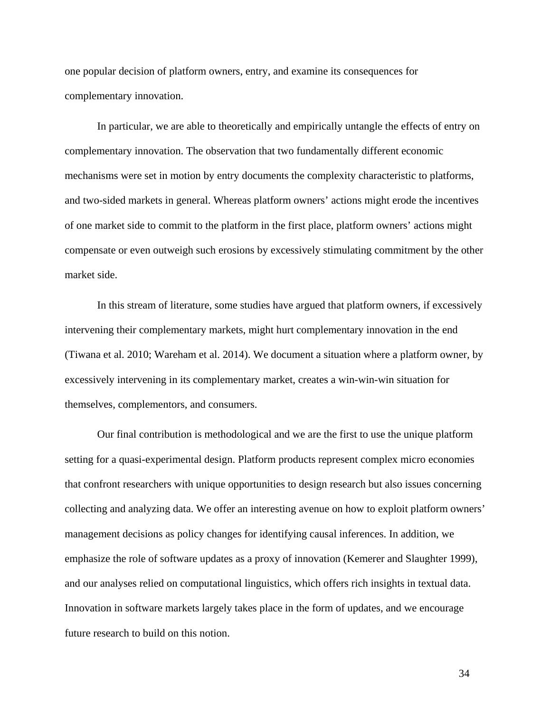one popular decision of platform owners, entry, and examine its consequences for complementary innovation.

In particular, we are able to theoretically and empirically untangle the effects of entry on complementary innovation. The observation that two fundamentally different economic mechanisms were set in motion by entry documents the complexity characteristic to platforms, and two-sided markets in general. Whereas platform owners' actions might erode the incentives of one market side to commit to the platform in the first place, platform owners' actions might compensate or even outweigh such erosions by excessively stimulating commitment by the other market side.

In this stream of literature, some studies have argued that platform owners, if excessively intervening their complementary markets, might hurt complementary innovation in the end (Tiwana et al. 2010; Wareham et al. 2014). We document a situation where a platform owner, by excessively intervening in its complementary market, creates a win-win-win situation for themselves, complementors, and consumers.

Our final contribution is methodological and we are the first to use the unique platform setting for a quasi-experimental design. Platform products represent complex micro economies that confront researchers with unique opportunities to design research but also issues concerning collecting and analyzing data. We offer an interesting avenue on how to exploit platform owners' management decisions as policy changes for identifying causal inferences. In addition, we emphasize the role of software updates as a proxy of innovation (Kemerer and Slaughter 1999), and our analyses relied on computational linguistics, which offers rich insights in textual data. Innovation in software markets largely takes place in the form of updates, and we encourage future research to build on this notion.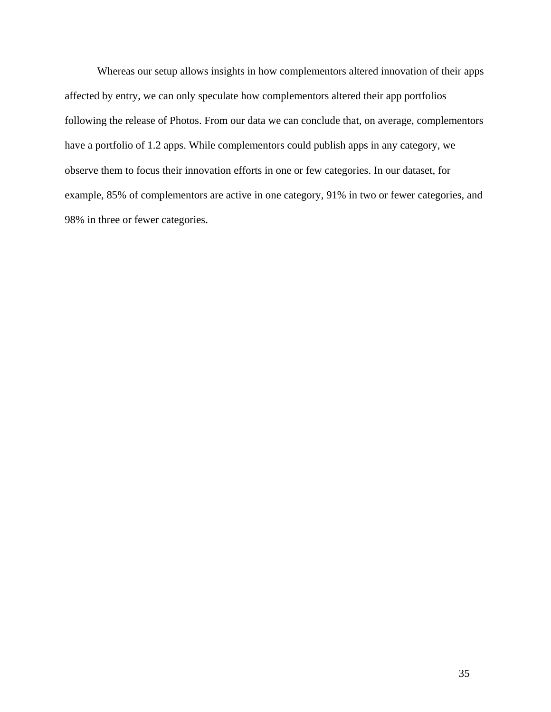Whereas our setup allows insights in how complementors altered innovation of their apps affected by entry, we can only speculate how complementors altered their app portfolios following the release of Photos. From our data we can conclude that, on average, complementors have a portfolio of 1.2 apps. While complementors could publish apps in any category, we observe them to focus their innovation efforts in one or few categories. In our dataset, for example, 85% of complementors are active in one category, 91% in two or fewer categories, and 98% in three or fewer categories.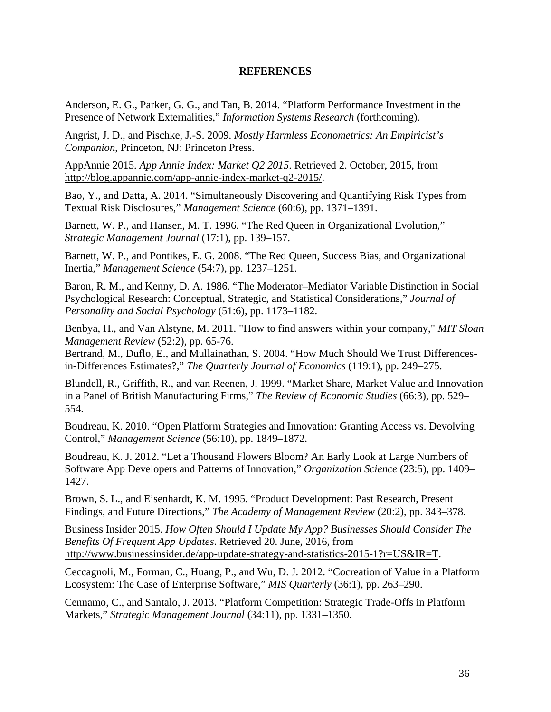## **REFERENCES**

Anderson, E. G., Parker, G. G., and Tan, B. 2014. "Platform Performance Investment in the Presence of Network Externalities," *Information Systems Research* (forthcoming).

Angrist, J. D., and Pischke, J.-S. 2009. *Mostly Harmless Econometrics: An Empiricist's Companion*, Princeton, NJ: Princeton Press.

AppAnnie 2015. *App Annie Index: Market Q2 2015*. Retrieved 2. October, 2015, from http://blog.appannie.com/app-annie-index-market-q2-2015/.

Bao, Y., and Datta, A. 2014. "Simultaneously Discovering and Quantifying Risk Types from Textual Risk Disclosures," *Management Science* (60:6), pp. 1371–1391.

Barnett, W. P., and Hansen, M. T. 1996. "The Red Queen in Organizational Evolution," *Strategic Management Journal* (17:1), pp. 139–157.

Barnett, W. P., and Pontikes, E. G. 2008. "The Red Queen, Success Bias, and Organizational Inertia," *Management Science* (54:7), pp. 1237–1251.

Baron, R. M., and Kenny, D. A. 1986. "The Moderator–Mediator Variable Distinction in Social Psychological Research: Conceptual, Strategic, and Statistical Considerations," *Journal of Personality and Social Psychology* (51:6), pp. 1173–1182.

Benbya, H., and Van Alstyne, M. 2011. "How to find answers within your company," *MIT Sloan Management Review* (52:2), pp. 65-76.

Bertrand, M., Duflo, E., and Mullainathan, S. 2004. "How Much Should We Trust Differencesin-Differences Estimates?," *The Quarterly Journal of Economics* (119:1), pp. 249–275.

Blundell, R., Griffith, R., and van Reenen, J. 1999. "Market Share, Market Value and Innovation in a Panel of British Manufacturing Firms," *The Review of Economic Studies* (66:3), pp. 529– 554.

Boudreau, K. 2010. "Open Platform Strategies and Innovation: Granting Access vs. Devolving Control," *Management Science* (56:10), pp. 1849–1872.

Boudreau, K. J. 2012. "Let a Thousand Flowers Bloom? An Early Look at Large Numbers of Software App Developers and Patterns of Innovation," *Organization Science* (23:5), pp. 1409– 1427.

Brown, S. L., and Eisenhardt, K. M. 1995. "Product Development: Past Research, Present Findings, and Future Directions," *The Academy of Management Review* (20:2), pp. 343–378.

Business Insider 2015. *How Often Should I Update My App? Businesses Should Consider The Benefits Of Frequent App Updates*. Retrieved 20. June, 2016, from http://www.businessinsider.de/app-update-strategy-and-statistics-2015-1?r=US&IR=T.

Ceccagnoli, M., Forman, C., Huang, P., and Wu, D. J. 2012. "Cocreation of Value in a Platform Ecosystem: The Case of Enterprise Software," *MIS Quarterly* (36:1), pp. 263–290.

Cennamo, C., and Santalo, J. 2013. "Platform Competition: Strategic Trade-Offs in Platform Markets," *Strategic Management Journal* (34:11), pp. 1331–1350.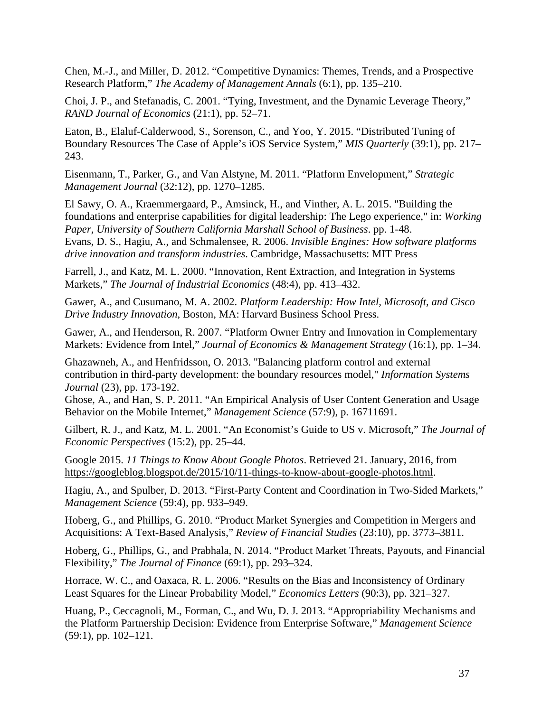Chen, M.-J., and Miller, D. 2012. "Competitive Dynamics: Themes, Trends, and a Prospective Research Platform," *The Academy of Management Annals* (6:1), pp. 135–210.

Choi, J. P., and Stefanadis, C. 2001. "Tying, Investment, and the Dynamic Leverage Theory," *RAND Journal of Economics* (21:1), pp. 52–71.

Eaton, B., Elaluf-Calderwood, S., Sorenson, C., and Yoo, Y. 2015. "Distributed Tuning of Boundary Resources The Case of Apple's iOS Service System," *MIS Quarterly* (39:1), pp. 217– 243.

Eisenmann, T., Parker, G., and Van Alstyne, M. 2011. "Platform Envelopment," *Strategic Management Journal* (32:12), pp. 1270–1285.

El Sawy, O. A., Kraemmergaard, P., Amsinck, H., and Vinther, A. L. 2015. "Building the foundations and enterprise capabilities for digital leadership: The Lego experience," in: *Working Paper, University of Southern California Marshall School of Business*. pp. 1-48. Evans, D. S., Hagiu, A., and Schmalensee, R. 2006. *Invisible Engines: How software platforms drive innovation and transform industries*. Cambridge, Massachusetts: MIT Press

Farrell, J., and Katz, M. L. 2000. "Innovation, Rent Extraction, and Integration in Systems Markets," *The Journal of Industrial Economics* (48:4), pp. 413–432.

Gawer, A., and Cusumano, M. A. 2002. *Platform Leadership: How Intel, Microsoft, and Cisco Drive Industry Innovation*, Boston, MA: Harvard Business School Press.

Gawer, A., and Henderson, R. 2007. "Platform Owner Entry and Innovation in Complementary Markets: Evidence from Intel," *Journal of Economics & Management Strategy* (16:1), pp. 1–34.

Ghazawneh, A., and Henfridsson, O. 2013. "Balancing platform control and external contribution in third-party development: the boundary resources model," *Information Systems Journal* (23), pp. 173-192.

Ghose, A., and Han, S. P. 2011. "An Empirical Analysis of User Content Generation and Usage Behavior on the Mobile Internet," *Management Science* (57:9), p. 16711691.

Gilbert, R. J., and Katz, M. L. 2001. "An Economist's Guide to US v. Microsoft," *The Journal of Economic Perspectives* (15:2), pp. 25–44.

Google 2015. *11 Things to Know About Google Photos*. Retrieved 21. January, 2016, from https://googleblog.blogspot.de/2015/10/11-things-to-know-about-google-photos.html.

Hagiu, A., and Spulber, D. 2013. "First-Party Content and Coordination in Two-Sided Markets," *Management Science* (59:4), pp. 933–949.

Hoberg, G., and Phillips, G. 2010. "Product Market Synergies and Competition in Mergers and Acquisitions: A Text-Based Analysis," *Review of Financial Studies* (23:10), pp. 3773–3811.

Hoberg, G., Phillips, G., and Prabhala, N. 2014. "Product Market Threats, Payouts, and Financial Flexibility," *The Journal of Finance* (69:1), pp. 293–324.

Horrace, W. C., and Oaxaca, R. L. 2006. "Results on the Bias and Inconsistency of Ordinary Least Squares for the Linear Probability Model," *Economics Letters* (90:3), pp. 321–327.

Huang, P., Ceccagnoli, M., Forman, C., and Wu, D. J. 2013. "Appropriability Mechanisms and the Platform Partnership Decision: Evidence from Enterprise Software," *Management Science* (59:1), pp. 102–121.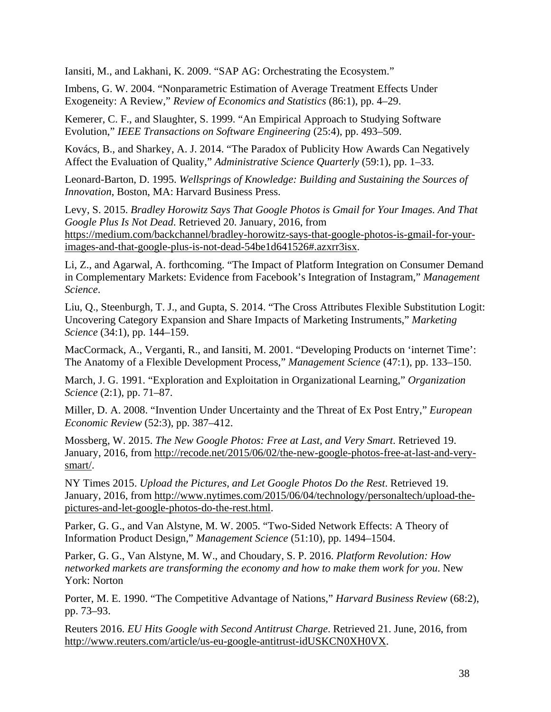Iansiti, M., and Lakhani, K. 2009. "SAP AG: Orchestrating the Ecosystem."

Imbens, G. W. 2004. "Nonparametric Estimation of Average Treatment Effects Under Exogeneity: A Review," *Review of Economics and Statistics* (86:1), pp. 4–29.

Kemerer, C. F., and Slaughter, S. 1999. "An Empirical Approach to Studying Software Evolution," *IEEE Transactions on Software Engineering* (25:4), pp. 493–509.

Kovács, B., and Sharkey, A. J. 2014. "The Paradox of Publicity How Awards Can Negatively Affect the Evaluation of Quality," *Administrative Science Quarterly* (59:1), pp. 1–33.

Leonard-Barton, D. 1995. *Wellsprings of Knowledge: Building and Sustaining the Sources of Innovation*, Boston, MA: Harvard Business Press.

Levy, S. 2015. *Bradley Horowitz Says That Google Photos is Gmail for Your Images. And That Google Plus Is Not Dead*. Retrieved 20. January, 2016, from https://medium.com/backchannel/bradley-horowitz-says-that-google-photos-is-gmail-for-yourimages-and-that-google-plus-is-not-dead-54be1d641526#.azxrr3isx.

Li, Z., and Agarwal, A. forthcoming. "The Impact of Platform Integration on Consumer Demand in Complementary Markets: Evidence from Facebook's Integration of Instagram," *Management Science*.

Liu, Q., Steenburgh, T. J., and Gupta, S. 2014. "The Cross Attributes Flexible Substitution Logit: Uncovering Category Expansion and Share Impacts of Marketing Instruments," *Marketing Science* (34:1), pp. 144–159.

MacCormack, A., Verganti, R., and Iansiti, M. 2001. "Developing Products on 'internet Time': The Anatomy of a Flexible Development Process," *Management Science* (47:1), pp. 133–150.

March, J. G. 1991. "Exploration and Exploitation in Organizational Learning," *Organization Science* (2:1), pp. 71–87.

Miller, D. A. 2008. "Invention Under Uncertainty and the Threat of Ex Post Entry," *European Economic Review* (52:3), pp. 387–412.

Mossberg, W. 2015. *The New Google Photos: Free at Last, and Very Smart*. Retrieved 19. January, 2016, from http://recode.net/2015/06/02/the-new-google-photos-free-at-last-and-verysmart/.

NY Times 2015. *Upload the Pictures, and Let Google Photos Do the Rest*. Retrieved 19. January, 2016, from http://www.nytimes.com/2015/06/04/technology/personaltech/upload-thepictures-and-let-google-photos-do-the-rest.html.

Parker, G. G., and Van Alstyne, M. W. 2005. "Two-Sided Network Effects: A Theory of Information Product Design," *Management Science* (51:10), pp. 1494–1504.

Parker, G. G., Van Alstyne, M. W., and Choudary, S. P. 2016. *Platform Revolution: How networked markets are transforming the economy and how to make them work for you*. New York: Norton

Porter, M. E. 1990. "The Competitive Advantage of Nations," *Harvard Business Review* (68:2), pp. 73–93.

Reuters 2016. *EU Hits Google with Second Antitrust Charge*. Retrieved 21. June, 2016, from http://www.reuters.com/article/us-eu-google-antitrust-idUSKCN0XH0VX.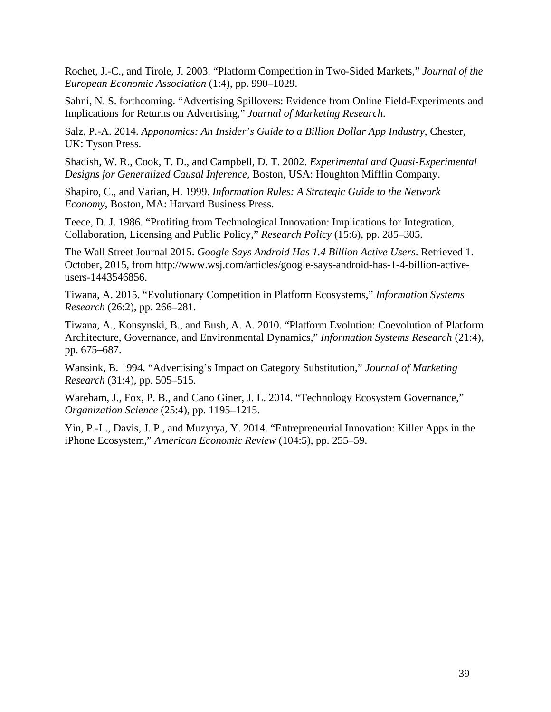Rochet, J.-C., and Tirole, J. 2003. "Platform Competition in Two-Sided Markets," *Journal of the European Economic Association* (1:4), pp. 990–1029.

Sahni, N. S. forthcoming. "Advertising Spillovers: Evidence from Online Field-Experiments and Implications for Returns on Advertising," *Journal of Marketing Research*.

Salz, P.-A. 2014. *Apponomics: An Insider's Guide to a Billion Dollar App Industry*, Chester, UK: Tyson Press.

Shadish, W. R., Cook, T. D., and Campbell, D. T. 2002. *Experimental and Quasi-Experimental Designs for Generalized Causal Inference*, Boston, USA: Houghton Mifflin Company.

Shapiro, C., and Varian, H. 1999. *Information Rules: A Strategic Guide to the Network Economy*, Boston, MA: Harvard Business Press.

Teece, D. J. 1986. "Profiting from Technological Innovation: Implications for Integration, Collaboration, Licensing and Public Policy," *Research Policy* (15:6), pp. 285–305.

The Wall Street Journal 2015. *Google Says Android Has 1.4 Billion Active Users*. Retrieved 1. October, 2015, from http://www.wsj.com/articles/google-says-android-has-1-4-billion-activeusers-1443546856.

Tiwana, A. 2015. "Evolutionary Competition in Platform Ecosystems," *Information Systems Research* (26:2), pp. 266–281.

Tiwana, A., Konsynski, B., and Bush, A. A. 2010. "Platform Evolution: Coevolution of Platform Architecture, Governance, and Environmental Dynamics," *Information Systems Research* (21:4), pp. 675–687.

Wansink, B. 1994. "Advertising's Impact on Category Substitution," *Journal of Marketing Research* (31:4), pp. 505–515.

Wareham, J., Fox, P. B., and Cano Giner, J. L. 2014. "Technology Ecosystem Governance," *Organization Science* (25:4), pp. 1195–1215.

Yin, P.-L., Davis, J. P., and Muzyrya, Y. 2014. "Entrepreneurial Innovation: Killer Apps in the iPhone Ecosystem," *American Economic Review* (104:5), pp. 255–59.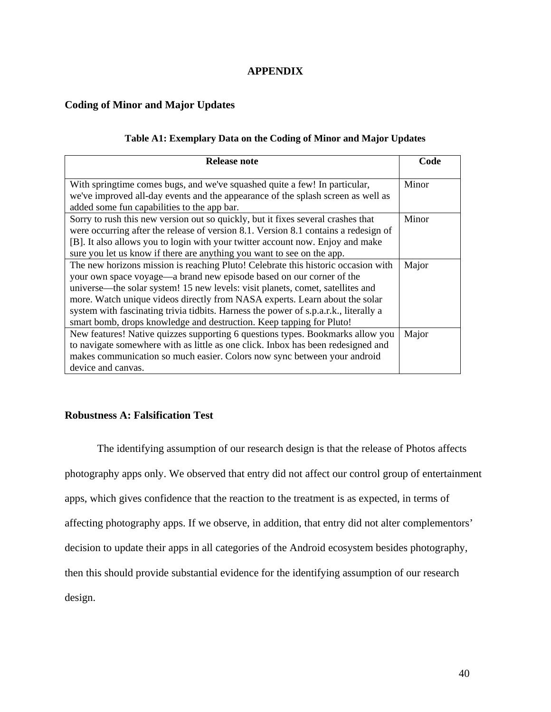# **APPENDIX**

# **Coding of Minor and Major Updates**

## **Table A1: Exemplary Data on the Coding of Minor and Major Updates**

| Release note                                                                                                                                                                                                                                                                                                                                                                                                                                                                               | Code  |
|--------------------------------------------------------------------------------------------------------------------------------------------------------------------------------------------------------------------------------------------------------------------------------------------------------------------------------------------------------------------------------------------------------------------------------------------------------------------------------------------|-------|
| With springtime comes bugs, and we've squashed quite a few! In particular,<br>we've improved all-day events and the appearance of the splash screen as well as<br>added some fun capabilities to the app bar.                                                                                                                                                                                                                                                                              | Minor |
| Sorry to rush this new version out so quickly, but it fixes several crashes that<br>were occurring after the release of version 8.1. Version 8.1 contains a redesign of<br>[B]. It also allows you to login with your twitter account now. Enjoy and make<br>sure you let us know if there are anything you want to see on the app.                                                                                                                                                        | Minor |
| The new horizons mission is reaching Pluto! Celebrate this historic occasion with<br>your own space voyage—a brand new episode based on our corner of the<br>universe—the solar system! 15 new levels: visit planets, comet, satellites and<br>more. Watch unique videos directly from NASA experts. Learn about the solar<br>system with fascinating trivia tidbits. Harness the power of s.p.a.r.k., literally a<br>smart bomb, drops knowledge and destruction. Keep tapping for Pluto! | Major |
| New features! Native quizzes supporting 6 questions types. Bookmarks allow you<br>to navigate somewhere with as little as one click. Inbox has been redesigned and<br>makes communication so much easier. Colors now sync between your android<br>device and canvas.                                                                                                                                                                                                                       | Major |

## **Robustness A: Falsification Test**

The identifying assumption of our research design is that the release of Photos affects photography apps only. We observed that entry did not affect our control group of entertainment apps, which gives confidence that the reaction to the treatment is as expected, in terms of affecting photography apps. If we observe, in addition, that entry did not alter complementors' decision to update their apps in all categories of the Android ecosystem besides photography, then this should provide substantial evidence for the identifying assumption of our research design.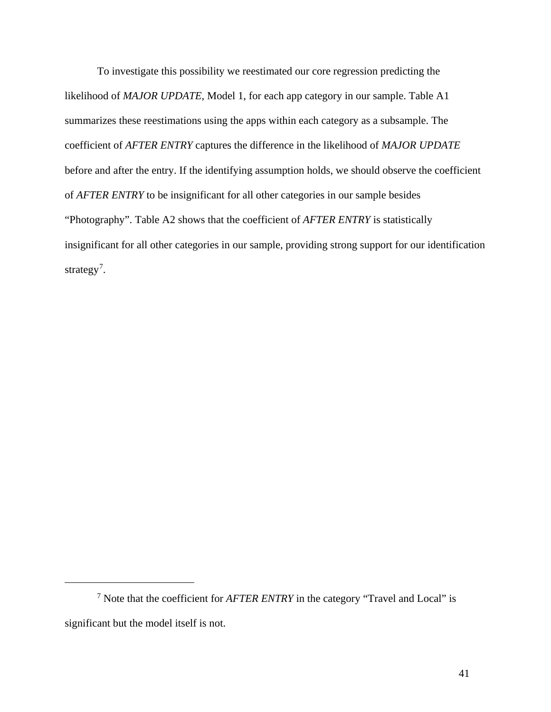To investigate this possibility we reestimated our core regression predicting the likelihood of *MAJOR UPDATE*, Model 1, for each app category in our sample. Table A1 summarizes these reestimations using the apps within each category as a subsample. The coefficient of *AFTER ENTRY* captures the difference in the likelihood of *MAJOR UPDATE* before and after the entry. If the identifying assumption holds, we should observe the coefficient of *AFTER ENTRY* to be insignificant for all other categories in our sample besides "Photography". Table A2 shows that the coefficient of *AFTER ENTRY* is statistically insignificant for all other categories in our sample, providing strong support for our identification strategy<sup>[7](#page-40-0)</sup>.

 $\overline{a}$ 

<span id="page-40-0"></span><sup>7</sup> Note that the coefficient for *AFTER ENTRY* in the category "Travel and Local" is significant but the model itself is not.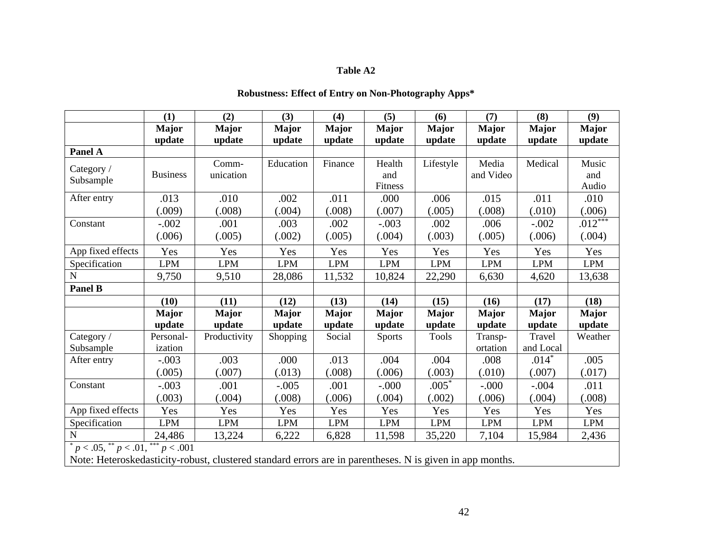# **Table A2**

# **Robustness: Effect of Entry on Non-Photography Apps\***

|                   | (1)                                                                                                                                                                                                                                                                                                                                         | (2)          | (3)          | (4)          | (5)           | (6)          | (7)          | (8)          | (9)          |
|-------------------|---------------------------------------------------------------------------------------------------------------------------------------------------------------------------------------------------------------------------------------------------------------------------------------------------------------------------------------------|--------------|--------------|--------------|---------------|--------------|--------------|--------------|--------------|
|                   | <b>Major</b>                                                                                                                                                                                                                                                                                                                                | <b>Major</b> | <b>Major</b> | <b>Major</b> | <b>Major</b>  | <b>Major</b> | <b>Major</b> | <b>Major</b> | <b>Major</b> |
|                   | update                                                                                                                                                                                                                                                                                                                                      | update       | update       | update       | update        | update       | update       | update       | update       |
| Panel A           |                                                                                                                                                                                                                                                                                                                                             |              |              |              |               |              |              |              |              |
| Category /        |                                                                                                                                                                                                                                                                                                                                             | Comm-        | Education    | Finance      | Health        | Lifestyle    | Media        | Medical      | Music        |
| Subsample         | <b>Business</b>                                                                                                                                                                                                                                                                                                                             | unication    |              |              | and           |              | and Video    |              | and          |
|                   |                                                                                                                                                                                                                                                                                                                                             |              |              |              | Fitness       |              |              |              | Audio        |
| After entry       | .013                                                                                                                                                                                                                                                                                                                                        | .010         | .002         | .011         | .000          | .006         | .015         | .011         | .010         |
|                   | (.009)                                                                                                                                                                                                                                                                                                                                      | (.008)       | .004)        | (.008)       | (.007)        | (.005)       | (.008)       | (.010)       | (.006)       |
| Constant          | $-.002$                                                                                                                                                                                                                                                                                                                                     | .001         | .003         | .002         | $-.003$       | .002         | .006         | $-.002$      | $.012$ ***   |
|                   | (.006)                                                                                                                                                                                                                                                                                                                                      | (.005)       | (.002)       | (.005)       | (.004)        | (.003)       | (.005)       | (.006)       | (.004)       |
| App fixed effects | Yes                                                                                                                                                                                                                                                                                                                                         | Yes          | Yes          | Yes          | Yes           | Yes          | Yes          | Yes          | Yes          |
| Specification     | <b>LPM</b>                                                                                                                                                                                                                                                                                                                                  | <b>LPM</b>   | <b>LPM</b>   | <b>LPM</b>   | <b>LPM</b>    | <b>LPM</b>   | <b>LPM</b>   | <b>LPM</b>   | <b>LPM</b>   |
| ${\bf N}$         | 9,750                                                                                                                                                                                                                                                                                                                                       | 9,510        | 28,086       | 11,532       | 10,824        | 22,290       | 6,630        | 4,620        | 13,638       |
| Panel B           |                                                                                                                                                                                                                                                                                                                                             |              |              |              |               |              |              |              |              |
|                   | (10)                                                                                                                                                                                                                                                                                                                                        | (11)         | (12)         | (13)         | (14)          | (15)         | (16)         | (17)         | (18)         |
|                   | <b>Major</b>                                                                                                                                                                                                                                                                                                                                | <b>Major</b> | <b>Major</b> | <b>Major</b> | <b>Major</b>  | <b>Major</b> | <b>Major</b> | <b>Major</b> | <b>Major</b> |
|                   | update                                                                                                                                                                                                                                                                                                                                      | update       | update       | update       | update        | update       | update       | update       | update       |
| Category /        | Personal-                                                                                                                                                                                                                                                                                                                                   | Productivity | Shopping     | Social       | <b>Sports</b> | <b>Tools</b> | Transp-      | Travel       | Weather      |
| Subsample         | ization                                                                                                                                                                                                                                                                                                                                     |              |              |              |               |              | ortation     | and Local    |              |
| After entry       | $-.003$                                                                                                                                                                                                                                                                                                                                     | .003         | .000         | .013         | .004          | .004         | .008         | $.014*$      | .005         |
|                   | (.005)                                                                                                                                                                                                                                                                                                                                      | (.007)       | (.013)       | (.008)       | 006           | (.003)       | (.010)       | (.007)       | (.017)       |
| Constant          | $-.003$                                                                                                                                                                                                                                                                                                                                     | .001         | $-.005$      | .001         | $-0.000$      | $.005*$      | $-000 -$     | $-.004$      | .011         |
|                   | (.003)                                                                                                                                                                                                                                                                                                                                      | (.004)       | (.008)       | (.006)       | (.004)        | (.002)       | (.006)       | (.004)       | (.008)       |
| App fixed effects | Yes                                                                                                                                                                                                                                                                                                                                         | Yes          | Yes          | Yes          | Yes           | Yes          | Yes          | Yes          | Yes          |
| Specification     | <b>LPM</b>                                                                                                                                                                                                                                                                                                                                  | <b>LPM</b>   | <b>LPM</b>   | <b>LPM</b>   | <b>LPM</b>    | <b>LPM</b>   | <b>LPM</b>   | <b>LPM</b>   | <b>LPM</b>   |
| ${\bf N}$         | 24,486                                                                                                                                                                                                                                                                                                                                      | 13,224       | 6,222        | 6,828        | 11,598        | 35,220       | 7,104        | 15,984       | 2,436        |
|                   | $p < .05,$ ** $p < .01,$ *** $p < .001$<br>$\mathbf{M}$ and $\mathbf{M}$ and $\mathbf{M}$ and $\mathbf{M}$ and $\mathbf{M}$ and $\mathbf{M}$ and $\mathbf{M}$ and $\mathbf{M}$ and $\mathbf{M}$ and $\mathbf{M}$ and $\mathbf{M}$ and $\mathbf{M}$ and $\mathbf{M}$ and $\mathbf{M}$ and $\mathbf{M}$ and $\mathbf{M}$ and $\mathbf{M}$ and |              |              |              |               |              |              |              |              |

Note: Heteroskedasticity-robust, clustered standard errors are in parentheses. N is given in app months.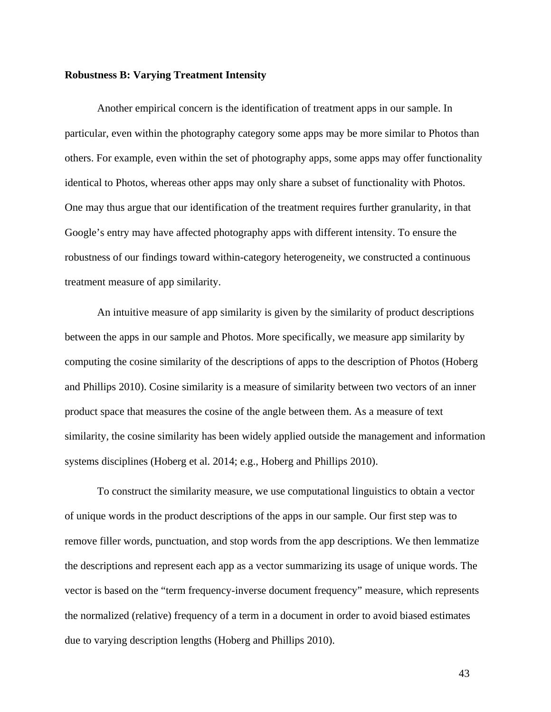#### **Robustness B: Varying Treatment Intensity**

Another empirical concern is the identification of treatment apps in our sample. In particular, even within the photography category some apps may be more similar to Photos than others. For example, even within the set of photography apps, some apps may offer functionality identical to Photos, whereas other apps may only share a subset of functionality with Photos. One may thus argue that our identification of the treatment requires further granularity, in that Google's entry may have affected photography apps with different intensity. To ensure the robustness of our findings toward within-category heterogeneity, we constructed a continuous treatment measure of app similarity.

An intuitive measure of app similarity is given by the similarity of product descriptions between the apps in our sample and Photos. More specifically, we measure app similarity by computing the cosine similarity of the descriptions of apps to the description of Photos (Hoberg and Phillips 2010). Cosine similarity is a measure of similarity between two vectors of an inner product space that measures the cosine of the angle between them. As a measure of text similarity, the cosine similarity has been widely applied outside the management and information systems disciplines (Hoberg et al. 2014; e.g., Hoberg and Phillips 2010).

To construct the similarity measure, we use computational linguistics to obtain a vector of unique words in the product descriptions of the apps in our sample. Our first step was to remove filler words, punctuation, and stop words from the app descriptions. We then lemmatize the descriptions and represent each app as a vector summarizing its usage of unique words. The vector is based on the "term frequency-inverse document frequency" measure, which represents the normalized (relative) frequency of a term in a document in order to avoid biased estimates due to varying description lengths (Hoberg and Phillips 2010).